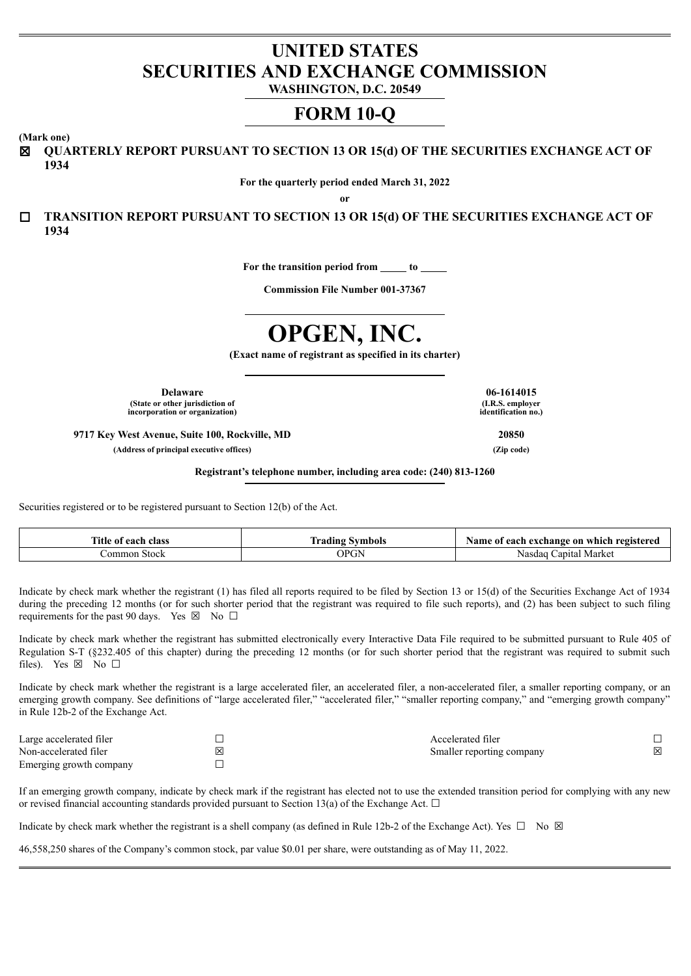# **UNITED STATES SECURITIES AND EXCHANGE COMMISSION**

**WASHINGTON, D.C. 20549**

# **FORM 10-Q**

**(Mark one)**

☒ **QUARTERLY REPORT PURSUANT TO SECTION 13 OR 15(d) OF THE SECURITIES EXCHANGE ACT OF 1934**

**For the quarterly period ended March 31, 2022**

**or**

☐ **TRANSITION REPORT PURSUANT TO SECTION 13 OR 15(d) OF THE SECURITIES EXCHANGE ACT OF 1934**

**For the transition period from to**

**Commission File Number 001-37367**

# **OPGEN, INC.**

**(Exact name of registrant as specified in its charter)**

**Delaware 06-1614015 (State or other jurisdiction of incorporation or organization)**

**9717 Key West Avenue, Suite 100, Rockville, MD 20850**

**(Address of principal executive offices) (Zip code)**

**Registrant's telephone number, including area code: (240) 813-1260**

Securities registered or to be registered pursuant to Section 12(b) of the Act.

| Title of each <b>c</b><br>class | Trading Symbols | registered<br>f each exchange on which<br>Name of |
|---------------------------------|-----------------|---------------------------------------------------|
| . Stock<br>ommon                | <b>PGN</b>      | Market<br>∠apıtal<br>Nasdac                       |

Indicate by check mark whether the registrant (1) has filed all reports required to be filed by Section 13 or 15(d) of the Securities Exchange Act of 1934 during the preceding 12 months (or for such shorter period that the registrant was required to file such reports), and (2) has been subject to such filing requirements for the past 90 days. Yes  $\boxtimes$  No  $\Box$ 

Indicate by check mark whether the registrant has submitted electronically every Interactive Data File required to be submitted pursuant to Rule 405 of Regulation S-T (§232.405 of this chapter) during the preceding 12 months (or for such shorter period that the registrant was required to submit such files). Yes  $\boxtimes$  No  $\Box$ 

Indicate by check mark whether the registrant is a large accelerated filer, an accelerated filer, a non-accelerated filer, a smaller reporting company, or an emerging growth company. See definitions of "large accelerated filer," "accelerated filer," "smaller reporting company," and "emerging growth company" in Rule 12b-2 of the Exchange Act.

| Large accelerated filer | Accelerated filer         |   |
|-------------------------|---------------------------|---|
| Non-accelerated filer   | Smaller reporting company | 冈 |
| Emerging growth company |                           |   |

If an emerging growth company, indicate by check mark if the registrant has elected not to use the extended transition period for complying with any new or revised financial accounting standards provided pursuant to Section 13(a) of the Exchange Act.  $\Box$ 

Indicate by check mark whether the registrant is a shell company (as defined in Rule 12b-2 of the Exchange Act). Yes  $\Box$  No  $\boxtimes$ 

46,558,250 shares of the Company's common stock, par value \$0.01 per share, were outstanding as of May 11, 2022.

**(I.R.S. employer identification no.)**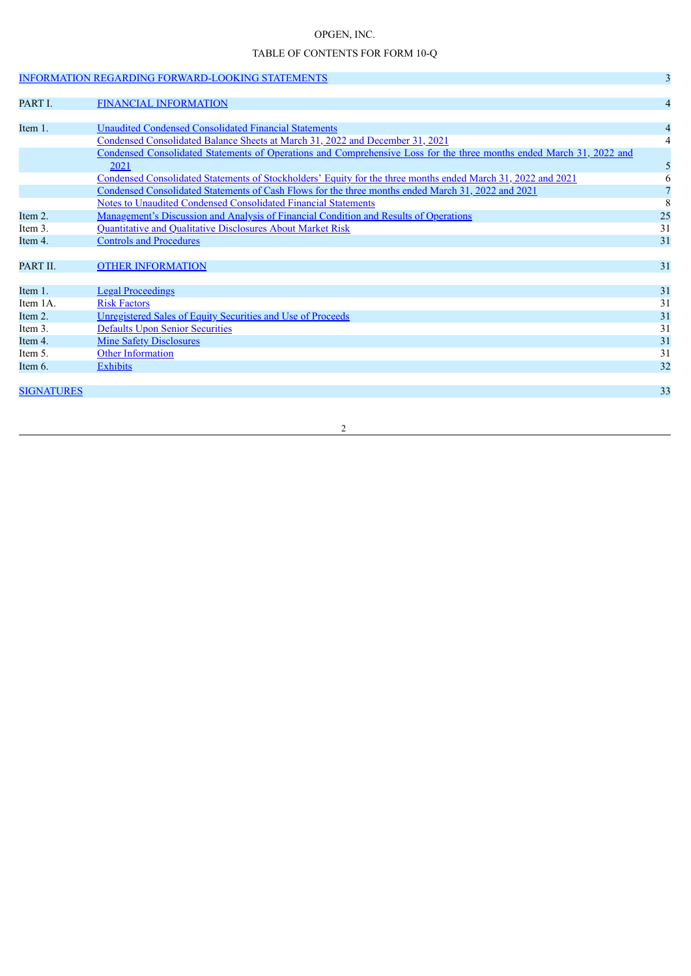# OPGEN, INC.

# TABLE OF CONTENTS FOR FORM 10-Q

# INFORMATION REGARDING [FORWARD-LOOKING](#page-2-0) STATEMENTS 3

| PART I.           | <b>FINANCIAL INFORMATION</b>                                                                                         | $\overline{4}$ |
|-------------------|----------------------------------------------------------------------------------------------------------------------|----------------|
|                   |                                                                                                                      |                |
| Item 1.           | <b>Unaudited Condensed Consolidated Financial Statements</b>                                                         | $\overline{4}$ |
|                   | Condensed Consolidated Balance Sheets at March 31, 2022 and December 31, 2021                                        | 4              |
|                   | Condensed Consolidated Statements of Operations and Comprehensive Loss for the three months ended March 31, 2022 and |                |
|                   | 2021                                                                                                                 | 5              |
|                   | Condensed Consolidated Statements of Stockholders' Equity for the three months ended March 31, 2022 and 2021         | 6              |
|                   | Condensed Consolidated Statements of Cash Flows for the three months ended March 31, 2022 and 2021                   | $\overline{7}$ |
|                   | Notes to Unaudited Condensed Consolidated Financial Statements                                                       | 8              |
| Item 2.           | Management's Discussion and Analysis of Financial Condition and Results of Operations                                | 25             |
| Item 3.           | Quantitative and Qualitative Disclosures About Market Risk                                                           | 31             |
| Item 4.           | <b>Controls and Procedures</b>                                                                                       | 31             |
|                   |                                                                                                                      |                |
| PART II.          | <b>OTHER INFORMATION</b>                                                                                             | 31             |
|                   |                                                                                                                      |                |
| Item 1.           | <b>Legal Proceedings</b>                                                                                             | 31             |
| Item 1A.          | <b>Risk Factors</b>                                                                                                  | 31             |
| Item 2.           | Unregistered Sales of Equity Securities and Use of Proceeds                                                          | 31             |
| Item 3.           | <b>Defaults Upon Senior Securities</b>                                                                               | 31             |
| Item 4.           | <b>Mine Safety Disclosures</b>                                                                                       | 31             |
| Item 5.           | <b>Other Information</b>                                                                                             | 31             |
| Item 6.           | <b>Exhibits</b>                                                                                                      | 32             |
|                   |                                                                                                                      |                |
| <b>SIGNATURES</b> |                                                                                                                      | 33             |
|                   |                                                                                                                      |                |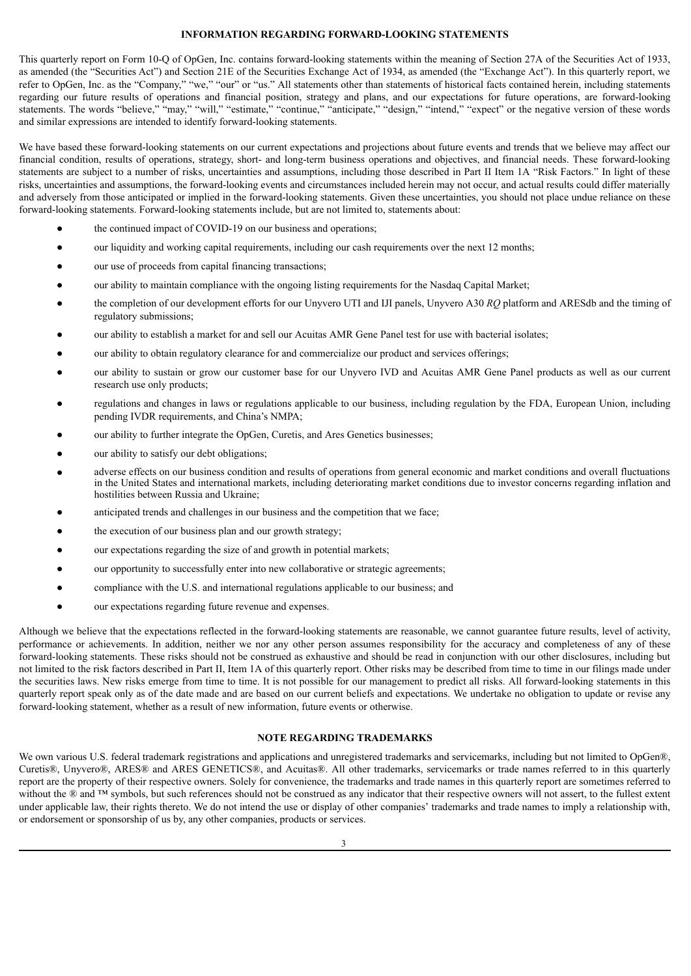#### **INFORMATION REGARDING FORWARD-LOOKING STATEMENTS**

<span id="page-2-0"></span>This quarterly report on Form 10-Q of OpGen, Inc. contains forward-looking statements within the meaning of Section 27A of the Securities Act of 1933, as amended (the "Securities Act") and Section 21E of the Securities Exchange Act of 1934, as amended (the "Exchange Act"). In this quarterly report, we refer to OpGen, Inc. as the "Company," "we," "our" or "us." All statements other than statements of historical facts contained herein, including statements regarding our future results of operations and financial position, strategy and plans, and our expectations for future operations, are forward-looking statements. The words "believe," "may," "will," "estimate," "continue," "anticipate," "design," "intend," "expect" or the negative version of these words and similar expressions are intended to identify forward-looking statements.

We have based these forward-looking statements on our current expectations and projections about future events and trends that we believe may affect our financial condition, results of operations, strategy, short- and long-term business operations and objectives, and financial needs. These forward-looking statements are subject to a number of risks, uncertainties and assumptions, including those described in Part II Item 1A "Risk Factors." In light of these risks, uncertainties and assumptions, the forward-looking events and circumstances included herein may not occur, and actual results could differ materially and adversely from those anticipated or implied in the forward-looking statements. Given these uncertainties, you should not place undue reliance on these forward-looking statements. Forward-looking statements include, but are not limited to, statements about:

- the continued impact of COVID-19 on our business and operations;
- our liquidity and working capital requirements, including our cash requirements over the next 12 months;
- our use of proceeds from capital financing transactions;
- our ability to maintain compliance with the ongoing listing requirements for the Nasdaq Capital Market;
- the completion of our development efforts for our Unyvero UTI and IJI panels, Unyvero A30 *RQ* platform and ARESdb and the timing of regulatory submissions;
- our ability to establish a market for and sell our Acuitas AMR Gene Panel test for use with bacterial isolates;
- our ability to obtain regulatory clearance for and commercialize our product and services offerings;
- our ability to sustain or grow our customer base for our Unyvero IVD and Acuitas AMR Gene Panel products as well as our current research use only products;
- regulations and changes in laws or regulations applicable to our business, including regulation by the FDA, European Union, including pending IVDR requirements, and China's NMPA;
- our ability to further integrate the OpGen, Curetis, and Ares Genetics businesses;
- our ability to satisfy our debt obligations;
- adverse effects on our business condition and results of operations from general economic and market conditions and overall fluctuations in the United States and international markets, including deteriorating market conditions due to investor concerns regarding inflation and hostilities between Russia and Ukraine;
- anticipated trends and challenges in our business and the competition that we face;
- the execution of our business plan and our growth strategy;
- our expectations regarding the size of and growth in potential markets;
- our opportunity to successfully enter into new collaborative or strategic agreements;
- compliance with the U.S. and international regulations applicable to our business; and
- our expectations regarding future revenue and expenses.

Although we believe that the expectations reflected in the forward-looking statements are reasonable, we cannot guarantee future results, level of activity, performance or achievements. In addition, neither we nor any other person assumes responsibility for the accuracy and completeness of any of these forward-looking statements. These risks should not be construed as exhaustive and should be read in conjunction with our other disclosures, including but not limited to the risk factors described in Part II, Item 1A of this quarterly report. Other risks may be described from time to time in our filings made under the securities laws. New risks emerge from time to time. It is not possible for our management to predict all risks. All forward-looking statements in this quarterly report speak only as of the date made and are based on our current beliefs and expectations. We undertake no obligation to update or revise any forward-looking statement, whether as a result of new information, future events or otherwise.

#### **NOTE REGARDING TRADEMARKS**

We own various U.S. federal trademark registrations and applications and unregistered trademarks and servicemarks, including but not limited to OpGen®, Curetis®, Unyvero®, ARES® and ARES GENETICS®, and Acuitas®. All other trademarks, servicemarks or trade names referred to in this quarterly report are the property of their respective owners. Solely for convenience, the trademarks and trade names in this quarterly report are sometimes referred to without the ® and ™ symbols, but such references should not be construed as any indicator that their respective owners will not assert, to the fullest extent under applicable law, their rights thereto. We do not intend the use or display of other companies' trademarks and trade names to imply a relationship with, or endorsement or sponsorship of us by, any other companies, products or services.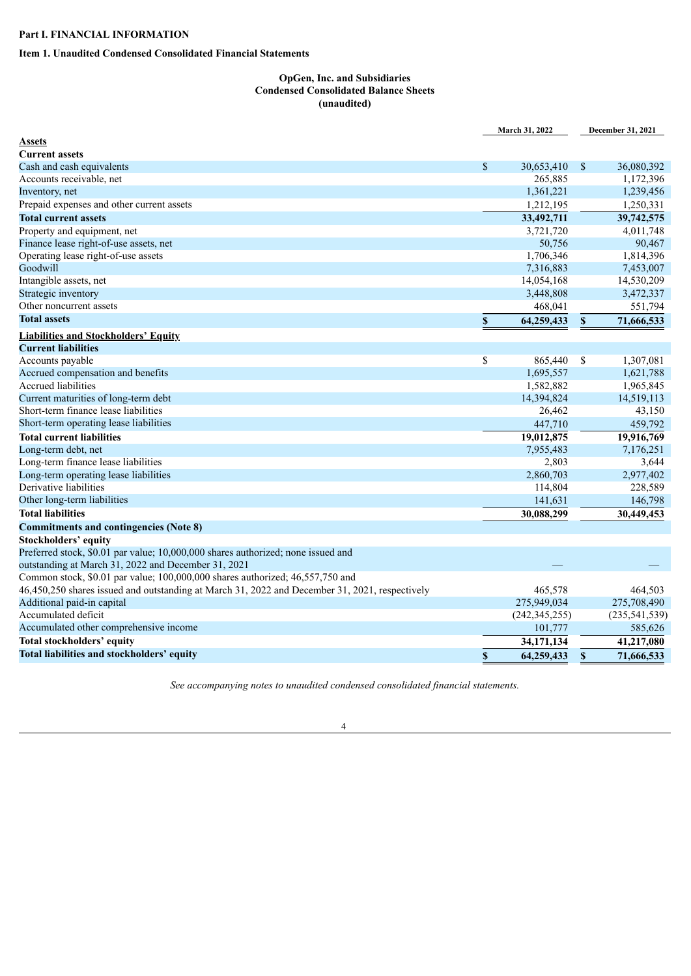## <span id="page-3-0"></span>**Part I. FINANCIAL INFORMATION**

## **Item 1. Unaudited Condensed Consolidated Financial Statements**

## **OpGen, Inc. and Subsidiaries Condensed Consolidated Balance Sheets (unaudited)**

|                                                                                                | March 31, 2022   |               | December 31, 2021 |
|------------------------------------------------------------------------------------------------|------------------|---------------|-------------------|
| <u>Assets</u>                                                                                  |                  |               |                   |
| <b>Current assets</b>                                                                          |                  |               |                   |
| Cash and cash equivalents                                                                      | \$<br>30,653,410 | - \$          | 36,080,392        |
| Accounts receivable, net                                                                       | 265,885          |               | 1,172,396         |
| Inventory, net                                                                                 | 1,361,221        |               | 1,239,456         |
| Prepaid expenses and other current assets                                                      | 1,212,195        |               | 1,250,331         |
| <b>Total current assets</b>                                                                    | 33,492,711       |               | 39,742,575        |
| Property and equipment, net                                                                    | 3,721,720        |               | 4,011,748         |
| Finance lease right-of-use assets, net                                                         | 50,756           |               | 90,467            |
| Operating lease right-of-use assets                                                            | 1,706,346        |               | 1,814,396         |
| Goodwill                                                                                       | 7,316,883        |               | 7,453,007         |
| Intangible assets, net                                                                         | 14,054,168       |               | 14,530,209        |
| Strategic inventory                                                                            | 3,448,808        |               | 3,472,337         |
| Other noncurrent assets                                                                        | 468,041          |               | 551,794           |
| <b>Total assets</b>                                                                            | \$<br>64,259,433 | $\mathbb S$   | 71,666,533        |
| <b>Liabilities and Stockholders' Equity</b>                                                    |                  |               |                   |
| <b>Current liabilities</b>                                                                     |                  |               |                   |
| Accounts payable                                                                               | \$<br>865,440    | <sup>\$</sup> | 1,307,081         |
| Accrued compensation and benefits                                                              | 1,695,557        |               | 1,621,788         |
| <b>Accrued liabilities</b>                                                                     | 1,582,882        |               | 1,965,845         |
| Current maturities of long-term debt                                                           | 14,394,824       |               | 14,519,113        |
| Short-term finance lease liabilities                                                           | 26,462           |               | 43,150            |
| Short-term operating lease liabilities                                                         | 447,710          |               | 459,792           |
| <b>Total current liabilities</b>                                                               | 19,012,875       |               | 19,916,769        |
| Long-term debt, net                                                                            | 7,955,483        |               | 7,176,251         |
| Long-term finance lease liabilities                                                            | 2,803            |               | 3,644             |
| Long-term operating lease liabilities                                                          | 2,860,703        |               | 2,977,402         |
| Derivative liabilities                                                                         | 114,804          |               | 228,589           |
| Other long-term liabilities                                                                    | 141,631          |               | 146,798           |
| <b>Total liabilities</b>                                                                       | 30,088,299       |               | 30,449,453        |
| <b>Commitments and contingencies (Note 8)</b>                                                  |                  |               |                   |
| Stockholders' equity                                                                           |                  |               |                   |
| Preferred stock, \$0.01 par value; 10,000,000 shares authorized; none issued and               |                  |               |                   |
| outstanding at March 31, 2022 and December 31, 2021                                            |                  |               |                   |
| Common stock, \$0.01 par value; 100,000,000 shares authorized; 46,557,750 and                  |                  |               |                   |
| 46,450,250 shares issued and outstanding at March 31, 2022 and December 31, 2021, respectively | 465,578          |               | 464,503           |
| Additional paid-in capital                                                                     | 275,949,034      |               | 275,708,490       |
| Accumulated deficit                                                                            | (242, 345, 255)  |               | (235, 541, 539)   |
| Accumulated other comprehensive income                                                         | 101,777          |               | 585,626           |
| Total stockholders' equity                                                                     | 34,171,134       |               | 41,217,080        |
| Total liabilities and stockholders' equity                                                     | \$<br>64,259,433 | $\mathbf{s}$  | 71,666,533        |

*See accompanying notes to unaudited condensed consolidated financial statements.*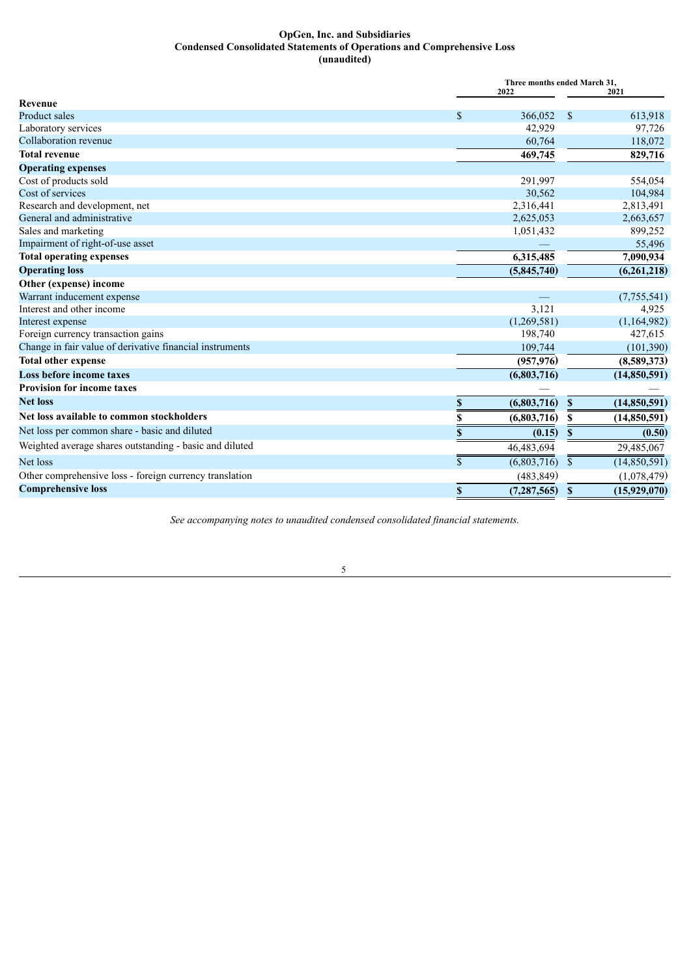## **OpGen, Inc. and Subsidiaries Condensed Consolidated Statements of Operations and Comprehensive Loss (unaudited)**

<span id="page-4-0"></span>

|                                                          |               | Three months ended March 31,<br>2022<br>2021 |              |                |  |  |
|----------------------------------------------------------|---------------|----------------------------------------------|--------------|----------------|--|--|
| Revenue                                                  |               |                                              |              |                |  |  |
| Product sales                                            | \$            | 366,052                                      | $\mathbb{S}$ | 613,918        |  |  |
| Laboratory services                                      |               | 42,929                                       |              | 97,726         |  |  |
| Collaboration revenue                                    |               | 60,764                                       |              | 118,072        |  |  |
| <b>Total revenue</b>                                     |               | 469,745                                      |              | 829,716        |  |  |
| <b>Operating expenses</b>                                |               |                                              |              |                |  |  |
| Cost of products sold                                    |               | 291,997                                      |              | 554,054        |  |  |
| Cost of services                                         |               | 30,562                                       |              | 104,984        |  |  |
| Research and development, net                            |               | 2,316,441                                    |              | 2,813,491      |  |  |
| General and administrative                               |               | 2,625,053                                    |              | 2,663,657      |  |  |
| Sales and marketing                                      |               | 1,051,432                                    |              | 899,252        |  |  |
| Impairment of right-of-use asset                         |               |                                              |              | 55,496         |  |  |
| <b>Total operating expenses</b>                          |               | 6,315,485                                    |              | 7,090,934      |  |  |
| <b>Operating loss</b>                                    |               | (5,845,740)                                  |              | (6,261,218)    |  |  |
| Other (expense) income                                   |               |                                              |              |                |  |  |
| Warrant inducement expense                               |               |                                              |              | (7, 755, 541)  |  |  |
| Interest and other income                                |               | 3,121                                        |              | 4,925          |  |  |
| Interest expense                                         |               | (1,269,581)                                  |              | (1,164,982)    |  |  |
| Foreign currency transaction gains                       |               | 198,740                                      |              | 427,615        |  |  |
| Change in fair value of derivative financial instruments |               | 109,744                                      |              | (101, 390)     |  |  |
| <b>Total other expense</b>                               |               | (957, 976)                                   |              | (8,589,373)    |  |  |
| Loss before income taxes                                 |               | (6,803,716)                                  |              | (14, 850, 591) |  |  |
| <b>Provision for income taxes</b>                        |               |                                              |              |                |  |  |
| <b>Net loss</b>                                          | $\frac{1}{2}$ | (6,803,716)                                  | $\mathbf{s}$ | (14, 850, 591) |  |  |
| Net loss available to common stockholders                | \$            | (6,803,716)                                  | S            | (14,850,591)   |  |  |
| Net loss per common share - basic and diluted            | \$            | (0.15)                                       | $\mathbf{s}$ | (0.50)         |  |  |
| Weighted average shares outstanding - basic and diluted  |               | 46,483,694                                   |              | 29,485,067     |  |  |
| Net loss                                                 | \$            | (6,803,716)                                  | $\mathbb{S}$ | (14, 850, 591) |  |  |
| Other comprehensive loss - foreign currency translation  |               | (483, 849)                                   |              | (1,078,479)    |  |  |
| <b>Comprehensive loss</b>                                | \$            | (7, 287, 565)                                | $\mathbf{s}$ | (15,929,070)   |  |  |
|                                                          |               |                                              |              |                |  |  |

*See accompanying notes to unaudited condensed consolidated financial statements.*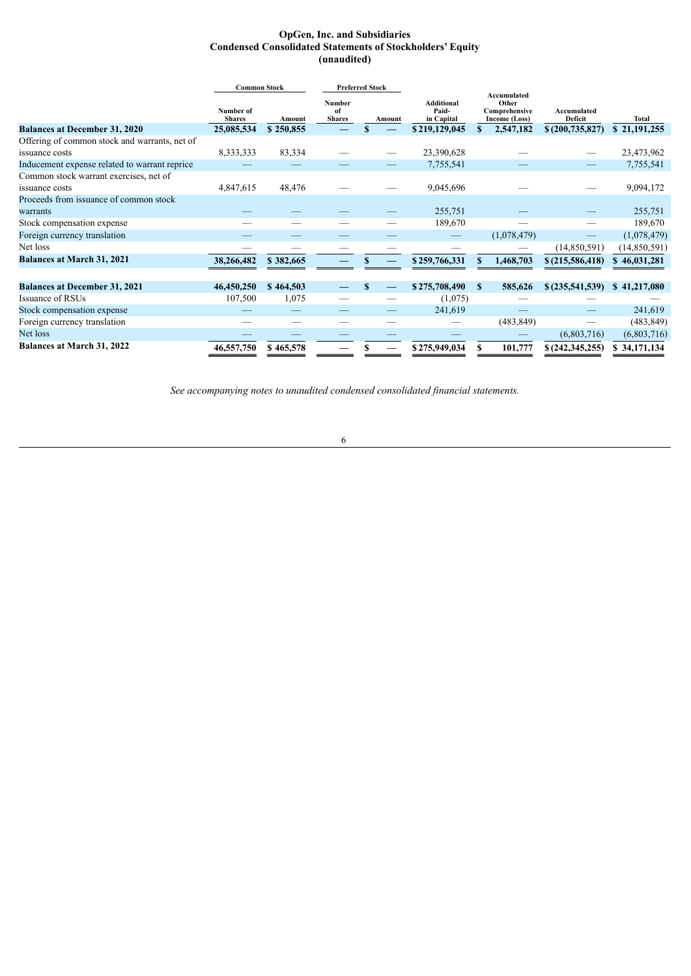## **OpGen, Inc. and Subsidiaries Condensed Consolidated Statements of Stockholders' Equity (unaudited)**

<span id="page-5-0"></span>

|                                               | <b>Common Stock</b>        |           |                                      | <b>Preferred Stock</b> |                                          |               |                                                               |                        |                  |
|-----------------------------------------------|----------------------------|-----------|--------------------------------------|------------------------|------------------------------------------|---------------|---------------------------------------------------------------|------------------------|------------------|
|                                               | Number of<br><b>Shares</b> | Amount    | <b>Number</b><br>of<br><b>Shares</b> | Amount                 | <b>Additional</b><br>Paid-<br>in Capital |               | Accumulated<br>Other<br>Comprehensive<br><b>Income</b> (Loss) | Accumulated<br>Deficit | <b>Total</b>     |
| <b>Balances at December 31, 2020</b>          | 25,085,534                 | \$250,855 |                                      |                        | \$219,129,045                            |               | 2,547,182                                                     | \$(200, 735, 827)      | \$21,191,255     |
| Offering of common stock and warrants, net of |                            |           |                                      |                        |                                          |               |                                                               |                        |                  |
| issuance costs                                | 8,333,333                  | 83,334    |                                      |                        | 23,390,628                               |               |                                                               |                        | 23,473,962       |
| Inducement expense related to warrant reprice |                            |           |                                      |                        | 7,755,541                                |               |                                                               |                        | 7,755,541        |
| Common stock warrant exercises, net of        |                            |           |                                      |                        |                                          |               |                                                               |                        |                  |
| issuance costs                                | 4,847,615                  | 48,476    |                                      |                        | 9,045,696                                |               |                                                               |                        | 9,094,172        |
| Proceeds from issuance of common stock        |                            |           |                                      |                        |                                          |               |                                                               |                        |                  |
| warrants                                      |                            |           |                                      |                        | 255,751                                  |               |                                                               |                        | 255,751          |
| Stock compensation expense                    |                            |           |                                      |                        | 189,670                                  |               |                                                               |                        | 189,670          |
| Foreign currency translation                  |                            |           |                                      |                        |                                          |               | (1,078,479)                                                   |                        | (1,078,479)      |
| Net loss                                      |                            |           |                                      |                        |                                          |               |                                                               | (14,850,591)           | (14,850,591)     |
| <b>Balances at March 31, 2021</b>             | 38,266,482                 | \$382,665 |                                      |                        | \$259,766,331                            |               | 1,468,703                                                     | \$(215,586,418)        | \$46,031,281     |
| <b>Balances at December 31, 2021</b>          | 46,450,250                 | \$464,503 |                                      | S                      | \$275,708,490                            | <sup>\$</sup> | 585,626                                                       | \$(235,541,539)        | 41,217,080<br>S. |
| Issuance of RSUs                              | 107,500                    | 1,075     |                                      |                        | (1,075)                                  |               |                                                               |                        |                  |
| Stock compensation expense                    |                            |           |                                      |                        | 241,619                                  |               |                                                               |                        | 241,619          |
| Foreign currency translation                  |                            |           |                                      |                        |                                          |               | (483, 849)                                                    |                        | (483, 849)       |
| Net loss                                      |                            |           |                                      |                        |                                          |               |                                                               | (6,803,716)            | (6,803,716)      |
| <b>Balances at March 31, 2022</b>             | 46,557,750                 | \$465,578 |                                      |                        | \$275,949,034                            |               | 101,777                                                       | \$(242, 345, 255)      | 34, 171, 134     |

*See accompanying notes to unaudited condensed consolidated financial statements.*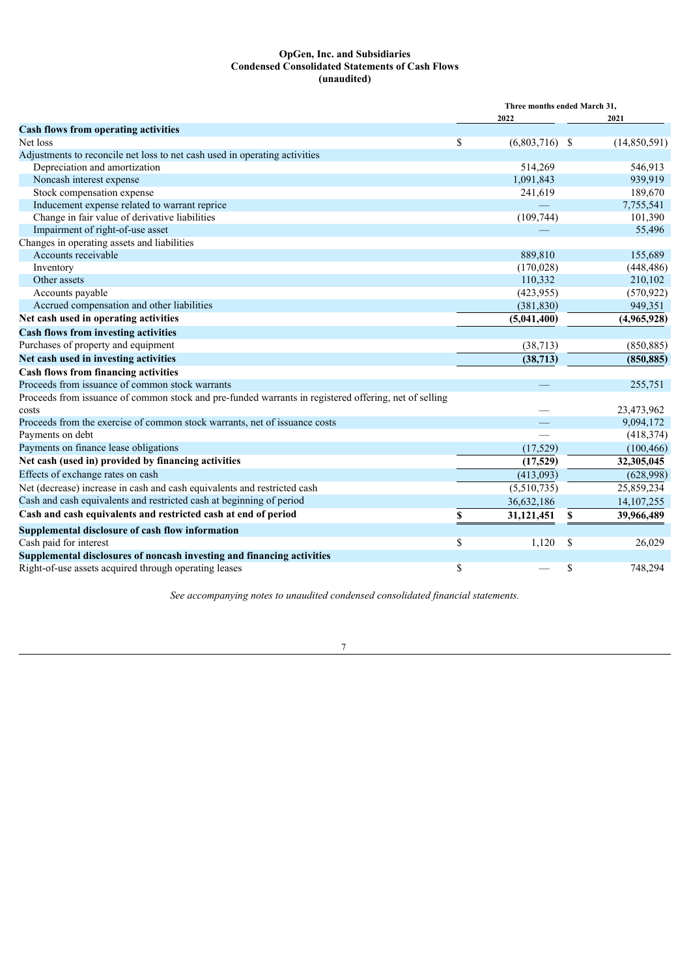## **OpGen, Inc. and Subsidiaries Condensed Consolidated Statements of Cash Flows (unaudited)**

<span id="page-6-0"></span>

|                                                                                                       | Three months ended March 31, |    |                |
|-------------------------------------------------------------------------------------------------------|------------------------------|----|----------------|
|                                                                                                       | 2022                         |    | 2021           |
| <b>Cash flows from operating activities</b>                                                           |                              |    |                |
| Net loss                                                                                              | \$<br>$(6,803,716)$ \$       |    | (14, 850, 591) |
| Adjustments to reconcile net loss to net cash used in operating activities                            |                              |    |                |
| Depreciation and amortization                                                                         | 514,269                      |    | 546,913        |
| Noncash interest expense                                                                              | 1,091,843                    |    | 939,919        |
| Stock compensation expense                                                                            | 241,619                      |    | 189,670        |
| Inducement expense related to warrant reprice                                                         |                              |    | 7,755,541      |
| Change in fair value of derivative liabilities                                                        | (109, 744)                   |    | 101,390        |
| Impairment of right-of-use asset                                                                      |                              |    | 55,496         |
| Changes in operating assets and liabilities                                                           |                              |    |                |
| Accounts receivable                                                                                   | 889,810                      |    | 155,689        |
| Inventory                                                                                             | (170,028)                    |    | (448, 486)     |
| Other assets                                                                                          | 110,332                      |    | 210,102        |
| Accounts payable                                                                                      | (423, 955)                   |    | (570, 922)     |
| Accrued compensation and other liabilities                                                            | (381, 830)                   |    | 949,351        |
| Net cash used in operating activities                                                                 | (5,041,400)                  |    | (4,965,928)    |
| <b>Cash flows from investing activities</b>                                                           |                              |    |                |
| Purchases of property and equipment                                                                   | (38, 713)                    |    | (850, 885)     |
| Net cash used in investing activities                                                                 | (38, 713)                    |    | (850, 885)     |
| <b>Cash flows from financing activities</b>                                                           |                              |    |                |
| Proceeds from issuance of common stock warrants                                                       |                              |    | 255,751        |
| Proceeds from issuance of common stock and pre-funded warrants in registered offering, net of selling |                              |    |                |
| costs                                                                                                 |                              |    | 23,473,962     |
| Proceeds from the exercise of common stock warrants, net of issuance costs                            |                              |    | 9,094,172      |
| Payments on debt                                                                                      |                              |    | (418, 374)     |
| Payments on finance lease obligations                                                                 | (17,529)                     |    | (100, 466)     |
| Net cash (used in) provided by financing activities                                                   | (17,529)                     |    | 32,305,045     |
| Effects of exchange rates on cash                                                                     | (413,093)                    |    | (628,998)      |
| Net (decrease) increase in cash and cash equivalents and restricted cash                              | (5,510,735)                  |    | 25,859,234     |
| Cash and cash equivalents and restricted cash at beginning of period                                  | 36,632,186                   |    | 14, 107, 255   |
| Cash and cash equivalents and restricted cash at end of period                                        | \$<br>31,121,451             | \$ | 39,966,489     |
| Supplemental disclosure of cash flow information                                                      |                              |    |                |
| Cash paid for interest                                                                                | \$<br>1,120                  | \$ | 26,029         |
| Supplemental disclosures of noncash investing and financing activities                                |                              |    |                |
| Right-of-use assets acquired through operating leases                                                 | \$                           | \$ | 748,294        |

*See accompanying notes to unaudited condensed consolidated financial statements.*

7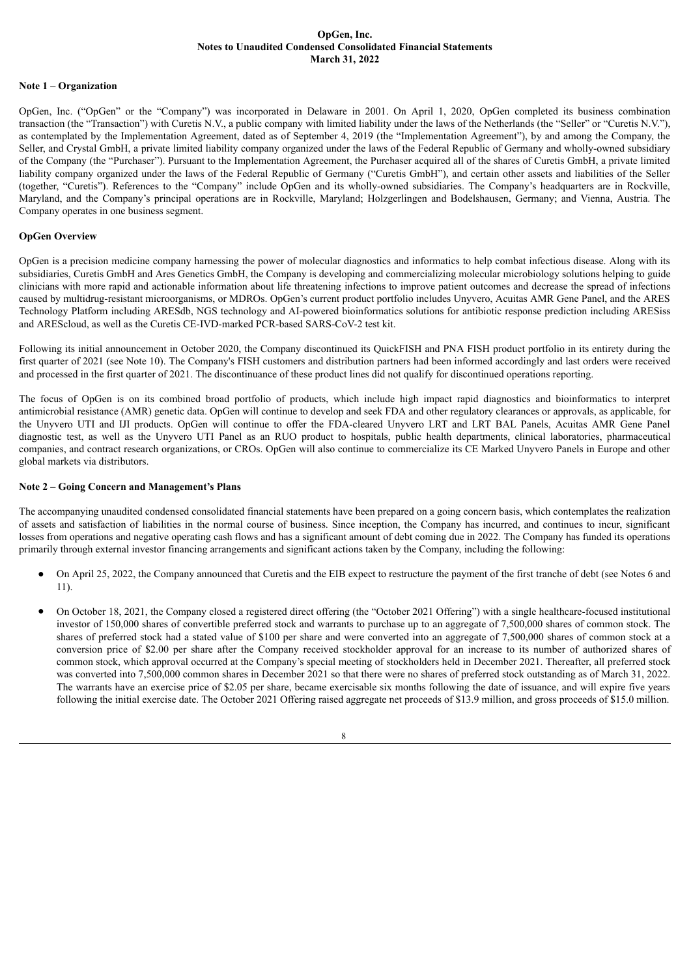### **OpGen, Inc. Notes to Unaudited Condensed Consolidated Financial Statements March 31, 2022**

#### <span id="page-7-0"></span>**Note 1 – Organization**

OpGen, Inc. ("OpGen" or the "Company") was incorporated in Delaware in 2001. On April 1, 2020, OpGen completed its business combination transaction (the "Transaction") with Curetis N.V., a public company with limited liability under the laws of the Netherlands (the "Seller" or "Curetis N.V."), as contemplated by the Implementation Agreement, dated as of September 4, 2019 (the "Implementation Agreement"), by and among the Company, the Seller, and Crystal GmbH, a private limited liability company organized under the laws of the Federal Republic of Germany and wholly-owned subsidiary of the Company (the "Purchaser"). Pursuant to the Implementation Agreement, the Purchaser acquired all of the shares of Curetis GmbH, a private limited liability company organized under the laws of the Federal Republic of Germany ("Curetis GmbH"), and certain other assets and liabilities of the Seller (together, "Curetis"). References to the "Company" include OpGen and its wholly-owned subsidiaries. The Company's headquarters are in Rockville, Maryland, and the Company's principal operations are in Rockville, Maryland; Holzgerlingen and Bodelshausen, Germany; and Vienna, Austria. The Company operates in one business segment.

## **OpGen Overview**

OpGen is a precision medicine company harnessing the power of molecular diagnostics and informatics to help combat infectious disease. Along with its subsidiaries, Curetis GmbH and Ares Genetics GmbH, the Company is developing and commercializing molecular microbiology solutions helping to guide clinicians with more rapid and actionable information about life threatening infections to improve patient outcomes and decrease the spread of infections caused by multidrug-resistant microorganisms, or MDROs. OpGen's current product portfolio includes Unyvero, Acuitas AMR Gene Panel, and the ARES Technology Platform including ARESdb, NGS technology and AI-powered bioinformatics solutions for antibiotic response prediction including ARESiss and AREScloud, as well as the Curetis CE-IVD-marked PCR-based SARS-CoV-2 test kit.

Following its initial announcement in October 2020, the Company discontinued its QuickFISH and PNA FISH product portfolio in its entirety during the first quarter of 2021 (see Note 10). The Company's FISH customers and distribution partners had been informed accordingly and last orders were received and processed in the first quarter of 2021. The discontinuance of these product lines did not qualify for discontinued operations reporting.

The focus of OpGen is on its combined broad portfolio of products, which include high impact rapid diagnostics and bioinformatics to interpret antimicrobial resistance (AMR) genetic data. OpGen will continue to develop and seek FDA and other regulatory clearances or approvals, as applicable, for the Unyvero UTI and IJI products. OpGen will continue to offer the FDA-cleared Unyvero LRT and LRT BAL Panels, Acuitas AMR Gene Panel diagnostic test, as well as the Unyvero UTI Panel as an RUO product to hospitals, public health departments, clinical laboratories, pharmaceutical companies, and contract research organizations, or CROs. OpGen will also continue to commercialize its CE Marked Unyvero Panels in Europe and other global markets via distributors.

## **Note 2 – Going Concern and Management's Plans**

The accompanying unaudited condensed consolidated financial statements have been prepared on a going concern basis, which contemplates the realization of assets and satisfaction of liabilities in the normal course of business. Since inception, the Company has incurred, and continues to incur, significant losses from operations and negative operating cash flows and has a significant amount of debt coming due in 2022. The Company has funded its operations primarily through external investor financing arrangements and significant actions taken by the Company, including the following:

- On April 25, 2022, the Company announced that Curetis and the EIB expect to restructure the payment of the first tranche of debt (see Notes 6 and 11).
- On October 18, 2021, the Company closed a registered direct offering (the "October 2021 Offering") with a single healthcare-focused institutional investor of 150,000 shares of convertible preferred stock and warrants to purchase up to an aggregate of 7,500,000 shares of common stock. The shares of preferred stock had a stated value of \$100 per share and were converted into an aggregate of 7,500,000 shares of common stock at a conversion price of \$2.00 per share after the Company received stockholder approval for an increase to its number of authorized shares of common stock, which approval occurred at the Company's special meeting of stockholders held in December 2021. Thereafter, all preferred stock was converted into 7,500,000 common shares in December 2021 so that there were no shares of preferred stock outstanding as of March 31, 2022. The warrants have an exercise price of \$2.05 per share, became exercisable six months following the date of issuance, and will expire five years following the initial exercise date. The October 2021 Offering raised aggregate net proceeds of \$13.9 million, and gross proceeds of \$15.0 million.

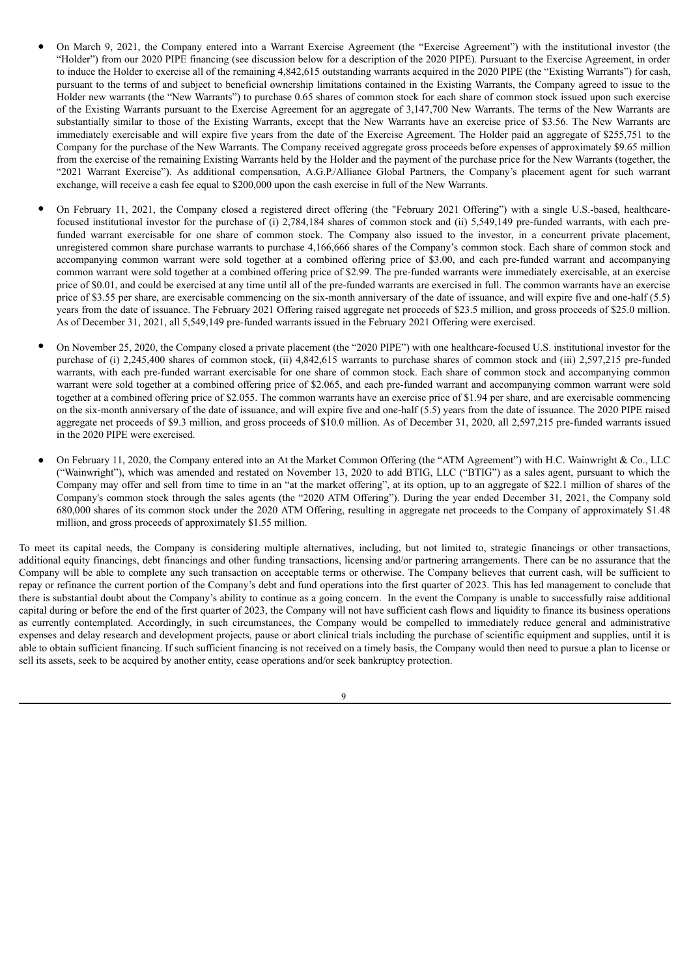- On March 9, 2021, the Company entered into a Warrant Exercise Agreement (the "Exercise Agreement") with the institutional investor (the "Holder") from our 2020 PIPE financing (see discussion below for a description of the 2020 PIPE). Pursuant to the Exercise Agreement, in order to induce the Holder to exercise all of the remaining 4,842,615 outstanding warrants acquired in the 2020 PIPE (the "Existing Warrants") for cash, pursuant to the terms of and subject to beneficial ownership limitations contained in the Existing Warrants, the Company agreed to issue to the Holder new warrants (the "New Warrants") to purchase 0.65 shares of common stock for each share of common stock issued upon such exercise of the Existing Warrants pursuant to the Exercise Agreement for an aggregate of 3,147,700 New Warrants. The terms of the New Warrants are substantially similar to those of the Existing Warrants, except that the New Warrants have an exercise price of \$3.56. The New Warrants are immediately exercisable and will expire five years from the date of the Exercise Agreement. The Holder paid an aggregate of \$255,751 to the Company for the purchase of the New Warrants. The Company received aggregate gross proceeds before expenses of approximately \$9.65 million from the exercise of the remaining Existing Warrants held by the Holder and the payment of the purchase price for the New Warrants (together, the "2021 Warrant Exercise"). As additional compensation, A.G.P./Alliance Global Partners, the Company's placement agent for such warrant exchange, will receive a cash fee equal to \$200,000 upon the cash exercise in full of the New Warrants.
- On February 11, 2021, the Company closed a registered direct offering (the "February 2021 Offering") with a single U.S.-based, healthcarefocused institutional investor for the purchase of (i) 2,784,184 shares of common stock and (ii) 5,549,149 pre-funded warrants, with each prefunded warrant exercisable for one share of common stock. The Company also issued to the investor, in a concurrent private placement, unregistered common share purchase warrants to purchase 4,166,666 shares of the Company's common stock. Each share of common stock and accompanying common warrant were sold together at a combined offering price of \$3.00, and each pre-funded warrant and accompanying common warrant were sold together at a combined offering price of \$2.99. The pre-funded warrants were immediately exercisable, at an exercise price of \$0.01, and could be exercised at any time until all of the pre-funded warrants are exercised in full. The common warrants have an exercise price of \$3.55 per share, are exercisable commencing on the six-month anniversary of the date of issuance, and will expire five and one-half (5.5) years from the date of issuance. The February 2021 Offering raised aggregate net proceeds of \$23.5 million, and gross proceeds of \$25.0 million. As of December 31, 2021, all 5,549,149 pre-funded warrants issued in the February 2021 Offering were exercised.
- On November 25, 2020, the Company closed a private placement (the "2020 PIPE") with one healthcare-focused U.S. institutional investor for the purchase of (i) 2,245,400 shares of common stock, (ii) 4,842,615 warrants to purchase shares of common stock and (iii) 2,597,215 pre-funded warrants, with each pre-funded warrant exercisable for one share of common stock. Each share of common stock and accompanying common warrant were sold together at a combined offering price of \$2.065, and each pre-funded warrant and accompanying common warrant were sold together at a combined offering price of \$2.055. The common warrants have an exercise price of \$1.94 per share, and are exercisable commencing on the six-month anniversary of the date of issuance, and will expire five and one-half (5.5) years from the date of issuance. The 2020 PIPE raised aggregate net proceeds of \$9.3 million, and gross proceeds of \$10.0 million. As of December 31, 2020, all 2,597,215 pre-funded warrants issued in the 2020 PIPE were exercised.
- On February 11, 2020, the Company entered into an At the Market Common Offering (the "ATM Agreement") with H.C. Wainwright & Co., LLC ("Wainwright"), which was amended and restated on November 13, 2020 to add BTIG, LLC ("BTIG") as a sales agent, pursuant to which the Company may offer and sell from time to time in an "at the market offering", at its option, up to an aggregate of \$22.1 million of shares of the Company's common stock through the sales agents (the "2020 ATM Offering"). During the year ended December 31, 2021, the Company sold 680,000 shares of its common stock under the 2020 ATM Offering, resulting in aggregate net proceeds to the Company of approximately \$1.48 million, and gross proceeds of approximately \$1.55 million.

To meet its capital needs, the Company is considering multiple alternatives, including, but not limited to, strategic financings or other transactions, additional equity financings, debt financings and other funding transactions, licensing and/or partnering arrangements. There can be no assurance that the Company will be able to complete any such transaction on acceptable terms or otherwise. The Company believes that current cash, will be sufficient to repay or refinance the current portion of the Company's debt and fund operations into the first quarter of 2023. This has led management to conclude that there is substantial doubt about the Company's ability to continue as a going concern. In the event the Company is unable to successfully raise additional capital during or before the end of the first quarter of 2023, the Company will not have sufficient cash flows and liquidity to finance its business operations as currently contemplated. Accordingly, in such circumstances, the Company would be compelled to immediately reduce general and administrative expenses and delay research and development projects, pause or abort clinical trials including the purchase of scientific equipment and supplies, until it is able to obtain sufficient financing. If such sufficient financing is not received on a timely basis, the Company would then need to pursue a plan to license or sell its assets, seek to be acquired by another entity, cease operations and/or seek bankruptcy protection.

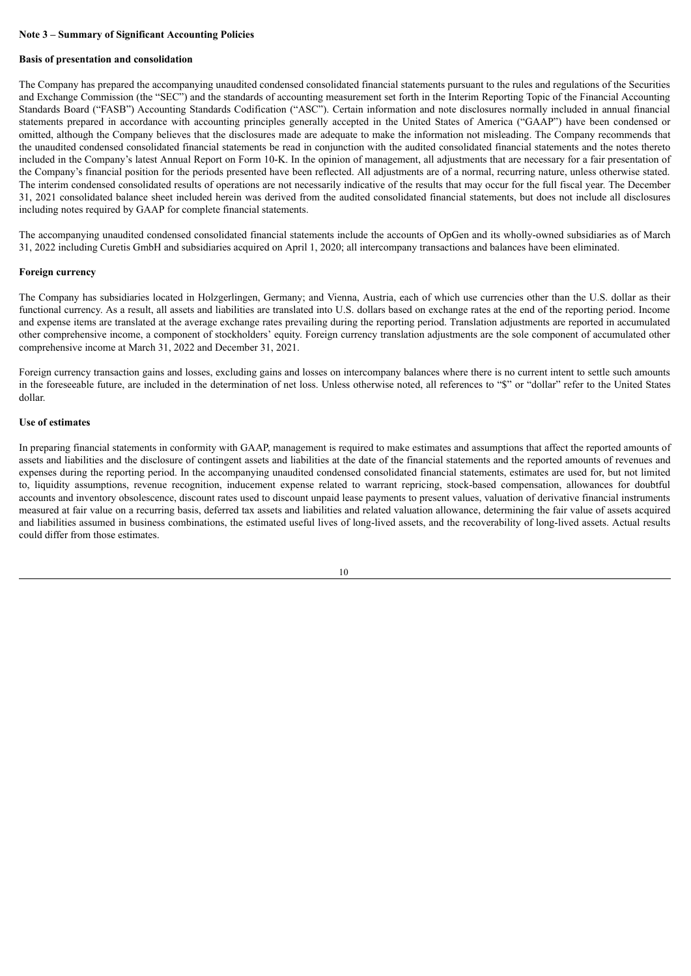#### **Note 3 – Summary of Significant Accounting Policies**

#### **Basis of presentation and consolidation**

The Company has prepared the accompanying unaudited condensed consolidated financial statements pursuant to the rules and regulations of the Securities and Exchange Commission (the "SEC") and the standards of accounting measurement set forth in the Interim Reporting Topic of the Financial Accounting Standards Board ("FASB") Accounting Standards Codification ("ASC"). Certain information and note disclosures normally included in annual financial statements prepared in accordance with accounting principles generally accepted in the United States of America ("GAAP") have been condensed or omitted, although the Company believes that the disclosures made are adequate to make the information not misleading. The Company recommends that the unaudited condensed consolidated financial statements be read in conjunction with the audited consolidated financial statements and the notes thereto included in the Company's latest Annual Report on Form 10-K. In the opinion of management, all adjustments that are necessary for a fair presentation of the Company's financial position for the periods presented have been reflected. All adjustments are of a normal, recurring nature, unless otherwise stated. The interim condensed consolidated results of operations are not necessarily indicative of the results that may occur for the full fiscal year. The December 31, 2021 consolidated balance sheet included herein was derived from the audited consolidated financial statements, but does not include all disclosures including notes required by GAAP for complete financial statements.

The accompanying unaudited condensed consolidated financial statements include the accounts of OpGen and its wholly-owned subsidiaries as of March 31, 2022 including Curetis GmbH and subsidiaries acquired on April 1, 2020; all intercompany transactions and balances have been eliminated.

#### **Foreign currency**

The Company has subsidiaries located in Holzgerlingen, Germany; and Vienna, Austria, each of which use currencies other than the U.S. dollar as their functional currency. As a result, all assets and liabilities are translated into U.S. dollars based on exchange rates at the end of the reporting period. Income and expense items are translated at the average exchange rates prevailing during the reporting period. Translation adjustments are reported in accumulated other comprehensive income, a component of stockholders' equity. Foreign currency translation adjustments are the sole component of accumulated other comprehensive income at March 31, 2022 and December 31, 2021.

Foreign currency transaction gains and losses, excluding gains and losses on intercompany balances where there is no current intent to settle such amounts in the foreseeable future, are included in the determination of net loss. Unless otherwise noted, all references to "\$" or "dollar" refer to the United States dollar.

#### **Use of estimates**

In preparing financial statements in conformity with GAAP, management is required to make estimates and assumptions that affect the reported amounts of assets and liabilities and the disclosure of contingent assets and liabilities at the date of the financial statements and the reported amounts of revenues and expenses during the reporting period. In the accompanying unaudited condensed consolidated financial statements, estimates are used for, but not limited to, liquidity assumptions, revenue recognition, inducement expense related to warrant repricing, stock-based compensation, allowances for doubtful accounts and inventory obsolescence, discount rates used to discount unpaid lease payments to present values, valuation of derivative financial instruments measured at fair value on a recurring basis, deferred tax assets and liabilities and related valuation allowance, determining the fair value of assets acquired and liabilities assumed in business combinations, the estimated useful lives of long-lived assets, and the recoverability of long-lived assets. Actual results could differ from those estimates.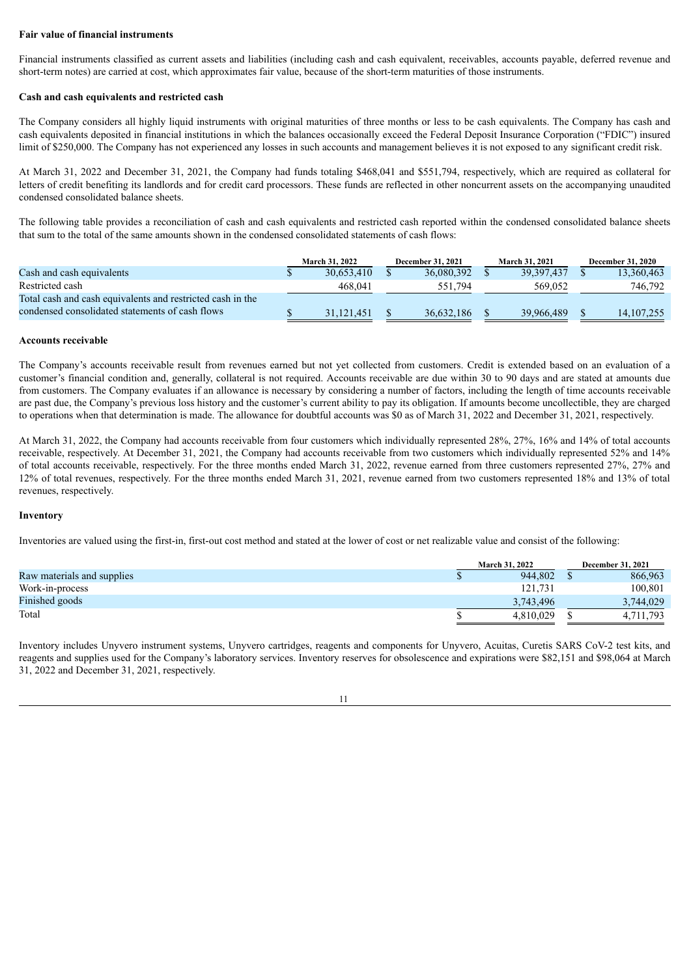## **Fair value of financial instruments**

Financial instruments classified as current assets and liabilities (including cash and cash equivalent, receivables, accounts payable, deferred revenue and short-term notes) are carried at cost, which approximates fair value, because of the short-term maturities of those instruments.

## **Cash and cash equivalents and restricted cash**

The Company considers all highly liquid instruments with original maturities of three months or less to be cash equivalents. The Company has cash and cash equivalents deposited in financial institutions in which the balances occasionally exceed the Federal Deposit Insurance Corporation ("FDIC") insured limit of \$250,000. The Company has not experienced any losses in such accounts and management believes it is not exposed to any significant credit risk.

At March 31, 2022 and December 31, 2021, the Company had funds totaling \$468,041 and \$551,794, respectively, which are required as collateral for letters of credit benefiting its landlords and for credit card processors. These funds are reflected in other noncurrent assets on the accompanying unaudited condensed consolidated balance sheets.

The following table provides a reconciliation of cash and cash equivalents and restricted cash reported within the condensed consolidated balance sheets that sum to the total of the same amounts shown in the condensed consolidated statements of cash flows:

|                                                                                                               | March 31, 2022 | <b>December 31, 2021</b> | <b>March 31, 2021</b> | <b>December 31, 2020</b> |
|---------------------------------------------------------------------------------------------------------------|----------------|--------------------------|-----------------------|--------------------------|
| Cash and cash equivalents                                                                                     | 30.653.410     | 36,080,392               | 39.397.437            | 13,360,463               |
| Restricted cash                                                                                               | 468.041        | 551.794                  | 569.052               | 746,792                  |
| Total cash and cash equivalents and restricted cash in the<br>condensed consolidated statements of cash flows | 31.121.451     | 36.632.186               | 39.966.489            | 14.107.255               |

#### **Accounts receivable**

The Company's accounts receivable result from revenues earned but not yet collected from customers. Credit is extended based on an evaluation of a customer's financial condition and, generally, collateral is not required. Accounts receivable are due within 30 to 90 days and are stated at amounts due from customers. The Company evaluates if an allowance is necessary by considering a number of factors, including the length of time accounts receivable are past due, the Company's previous loss history and the customer's current ability to pay its obligation. If amounts become uncollectible, they are charged to operations when that determination is made. The allowance for doubtful accounts was \$0 as of March 31, 2022 and December 31, 2021, respectively.

At March 31, 2022, the Company had accounts receivable from four customers which individually represented 28%, 27%, 16% and 14% of total accounts receivable, respectively. At December 31, 2021, the Company had accounts receivable from two customers which individually represented 52% and 14% of total accounts receivable, respectively. For the three months ended March 31, 2022, revenue earned from three customers represented 27%, 27% and 12% of total revenues, respectively. For the three months ended March 31, 2021, revenue earned from two customers represented 18% and 13% of total revenues, respectively.

#### **Inventory**

Inventories are valued using the first-in, first-out cost method and stated at the lower of cost or net realizable value and consist of the following:

|                            | <b>March 31, 2022</b> | <b>December 31, 2021</b> |
|----------------------------|-----------------------|--------------------------|
| Raw materials and supplies | 944.802               | 866,963                  |
| Work-in-process            | 121.731               | 100,801                  |
| Finished goods             | 3,743,496             | 3.744.029                |
| Total                      | 4,810,029             | 4,711,793                |

Inventory includes Unyvero instrument systems, Unyvero cartridges, reagents and components for Unyvero, Acuitas, Curetis SARS CoV-2 test kits, and reagents and supplies used for the Company's laboratory services. Inventory reserves for obsolescence and expirations were \$82,151 and \$98,064 at March 31, 2022 and December 31, 2021, respectively.

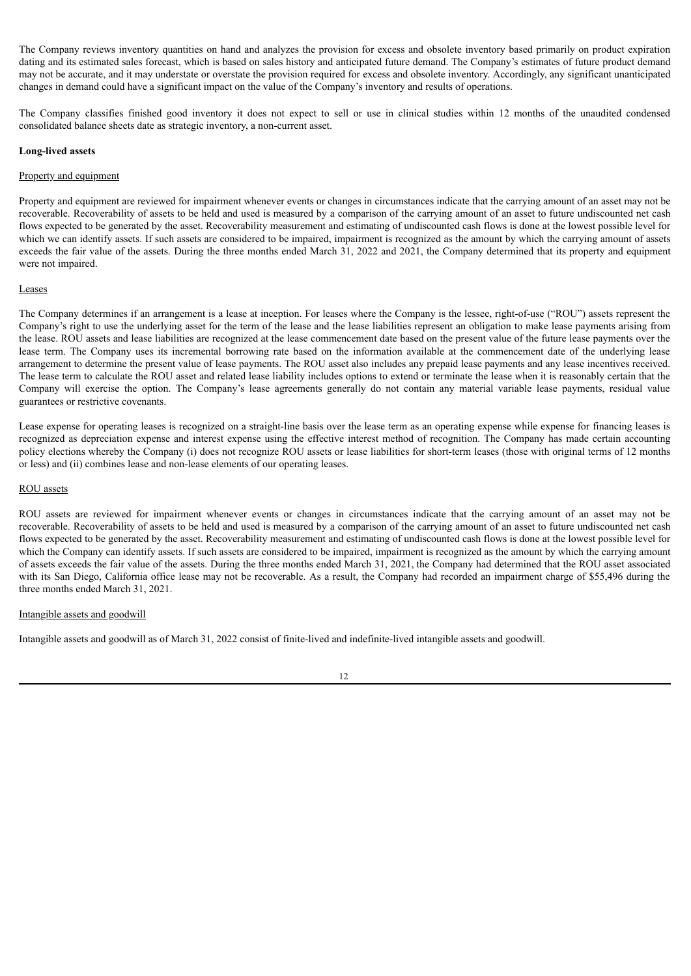The Company reviews inventory quantities on hand and analyzes the provision for excess and obsolete inventory based primarily on product expiration dating and its estimated sales forecast, which is based on sales history and anticipated future demand. The Company's estimates of future product demand may not be accurate, and it may understate or overstate the provision required for excess and obsolete inventory. Accordingly, any significant unanticipated changes in demand could have a significant impact on the value of the Company's inventory and results of operations.

The Company classifies finished good inventory it does not expect to sell or use in clinical studies within 12 months of the unaudited condensed consolidated balance sheets date as strategic inventory, a non-current asset.

## **Long-lived assets**

#### Property and equipment

Property and equipment are reviewed for impairment whenever events or changes in circumstances indicate that the carrying amount of an asset may not be recoverable. Recoverability of assets to be held and used is measured by a comparison of the carrying amount of an asset to future undiscounted net cash flows expected to be generated by the asset. Recoverability measurement and estimating of undiscounted cash flows is done at the lowest possible level for which we can identify assets. If such assets are considered to be impaired, impairment is recognized as the amount by which the carrying amount of assets exceeds the fair value of the assets. During the three months ended March 31, 2022 and 2021, the Company determined that its property and equipment were not impaired.

#### Leases

The Company determines if an arrangement is a lease at inception. For leases where the Company is the lessee, right-of-use ("ROU") assets represent the Company's right to use the underlying asset for the term of the lease and the lease liabilities represent an obligation to make lease payments arising from the lease. ROU assets and lease liabilities are recognized at the lease commencement date based on the present value of the future lease payments over the lease term. The Company uses its incremental borrowing rate based on the information available at the commencement date of the underlying lease arrangement to determine the present value of lease payments. The ROU asset also includes any prepaid lease payments and any lease incentives received. The lease term to calculate the ROU asset and related lease liability includes options to extend or terminate the lease when it is reasonably certain that the Company will exercise the option. The Company's lease agreements generally do not contain any material variable lease payments, residual value guarantees or restrictive covenants.

Lease expense for operating leases is recognized on a straight-line basis over the lease term as an operating expense while expense for financing leases is recognized as depreciation expense and interest expense using the effective interest method of recognition. The Company has made certain accounting policy elections whereby the Company (i) does not recognize ROU assets or lease liabilities for short-term leases (those with original terms of 12 months or less) and (ii) combines lease and non-lease elements of our operating leases.

#### ROU assets

ROU assets are reviewed for impairment whenever events or changes in circumstances indicate that the carrying amount of an asset may not be recoverable. Recoverability of assets to be held and used is measured by a comparison of the carrying amount of an asset to future undiscounted net cash flows expected to be generated by the asset. Recoverability measurement and estimating of undiscounted cash flows is done at the lowest possible level for which the Company can identify assets. If such assets are considered to be impaired, impairment is recognized as the amount by which the carrying amount of assets exceeds the fair value of the assets. During the three months ended March 31, 2021, the Company had determined that the ROU asset associated with its San Diego, California office lease may not be recoverable. As a result, the Company had recorded an impairment charge of \$55,496 during the three months ended March 31, 2021.

#### Intangible assets and goodwill

Intangible assets and goodwill as of March 31, 2022 consist of finite-lived and indefinite-lived intangible assets and goodwill.

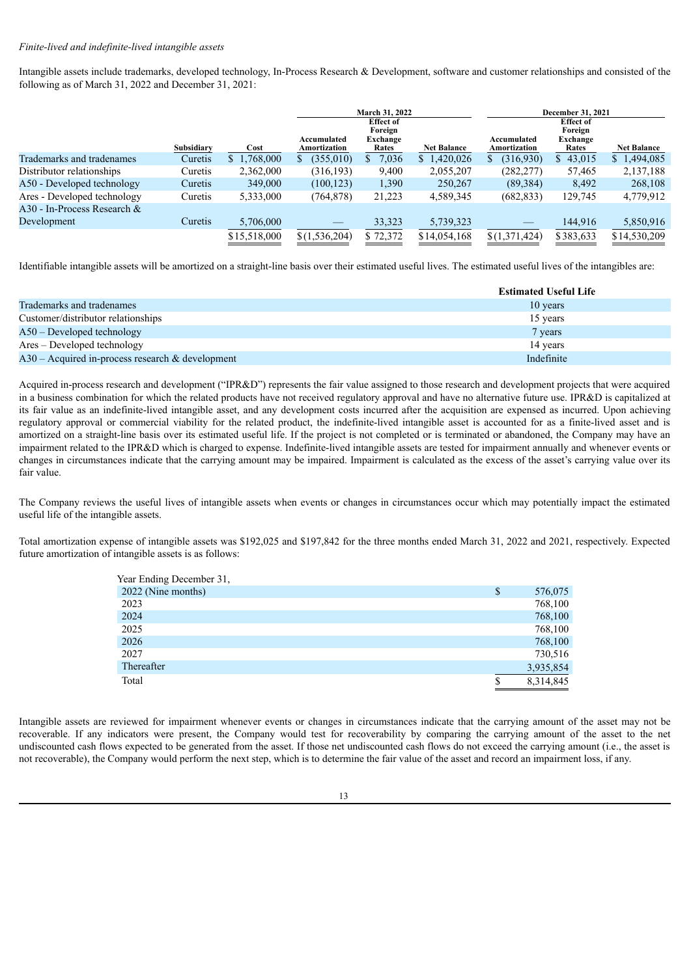## *Finite-lived and indefinite-lived intangible assets*

Intangible assets include trademarks, developed technology, In-Process Research & Development, software and customer relationships and consisted of the following as of March 31, 2022 and December 31, 2021:

|                               |            |              |                             | March 31, 2022                                   |                    |                             | <b>December 31, 2021</b>                                |                    |
|-------------------------------|------------|--------------|-----------------------------|--------------------------------------------------|--------------------|-----------------------------|---------------------------------------------------------|--------------------|
|                               | Subsidiary | Cost         | Accumulated<br>Amortization | <b>Effect</b> of<br>Foreign<br>Exchange<br>Rates | <b>Net Balance</b> | Accumulated<br>Amortization | <b>Effect</b> of<br>Foreign<br>Exchange<br><b>Rates</b> | <b>Net Balance</b> |
|                               |            |              |                             |                                                  |                    |                             |                                                         |                    |
| Trademarks and tradenames     | Curetis    | \$1,768,000  | (355,010)                   | 7,036                                            | \$1,420,026        | (316,930)                   | \$43,015                                                | \$1,494,085        |
| Distributor relationships     | Curetis    | 2,362,000    | (316, 193)                  | 9,400                                            | 2,055,207          | (282, 277)                  | 57,465                                                  | 2,137,188          |
| A50 - Developed technology    | Curetis    | 349,000      | (100, 123)                  | 1,390                                            | 250,267            | (89, 384)                   | 8,492                                                   | 268,108            |
| Ares - Developed technology   | Curetis    | 5,333,000    | (764, 878)                  | 21,223                                           | 4,589,345          | (682, 833)                  | 129,745                                                 | 4,779,912          |
| A30 - In-Process Research $&$ |            |              |                             |                                                  |                    |                             |                                                         |                    |
| Development                   | Curetis    | 5,706,000    |                             | 33,323                                           | 5,739,323          |                             | 144,916                                                 | 5,850,916          |
|                               |            | \$15,518,000 | \$(1,536,204)               | \$72,372                                         | \$14,054,168       | \$(1,371,424)               | \$383,633                                               | \$14,530,209       |

Identifiable intangible assets will be amortized on a straight-line basis over their estimated useful lives. The estimated useful lives of the intangibles are:

|                                                    | <b>Estimated Useful Life</b> |
|----------------------------------------------------|------------------------------|
| Trademarks and tradenames                          | 10 years                     |
| Customer/distributor relationships                 | 15 years                     |
| $A50 - Developed technology$                       | 7 years                      |
| Ares – Developed technology                        | 14 years                     |
| $A30 - Acquired$ in-process research & development | Indefinite                   |

Acquired in-process research and development ("IPR&D") represents the fair value assigned to those research and development projects that were acquired in a business combination for which the related products have not received regulatory approval and have no alternative future use. IPR&D is capitalized at its fair value as an indefinite-lived intangible asset, and any development costs incurred after the acquisition are expensed as incurred. Upon achieving regulatory approval or commercial viability for the related product, the indefinite-lived intangible asset is accounted for as a finite-lived asset and is amortized on a straight-line basis over its estimated useful life. If the project is not completed or is terminated or abandoned, the Company may have an impairment related to the IPR&D which is charged to expense. Indefinite-lived intangible assets are tested for impairment annually and whenever events or changes in circumstances indicate that the carrying amount may be impaired. Impairment is calculated as the excess of the asset's carrying value over its fair value.

The Company reviews the useful lives of intangible assets when events or changes in circumstances occur which may potentially impact the estimated useful life of the intangible assets.

Total amortization expense of intangible assets was \$192,025 and \$197,842 for the three months ended March 31, 2022 and 2021, respectively. Expected future amortization of intangible assets is as follows:

| Year Ending December 31, |               |
|--------------------------|---------------|
| 2022 (Nine months)       | \$<br>576,075 |
| 2023                     | 768,100       |
| 2024                     | 768,100       |
| 2025                     | 768,100       |
| 2026                     | 768,100       |
| 2027                     | 730,516       |
| Thereafter               | 3,935,854     |
| Total                    | 8,314,845     |

Intangible assets are reviewed for impairment whenever events or changes in circumstances indicate that the carrying amount of the asset may not be recoverable. If any indicators were present, the Company would test for recoverability by comparing the carrying amount of the asset to the net undiscounted cash flows expected to be generated from the asset. If those net undiscounted cash flows do not exceed the carrying amount (i.e., the asset is not recoverable), the Company would perform the next step, which is to determine the fair value of the asset and record an impairment loss, if any.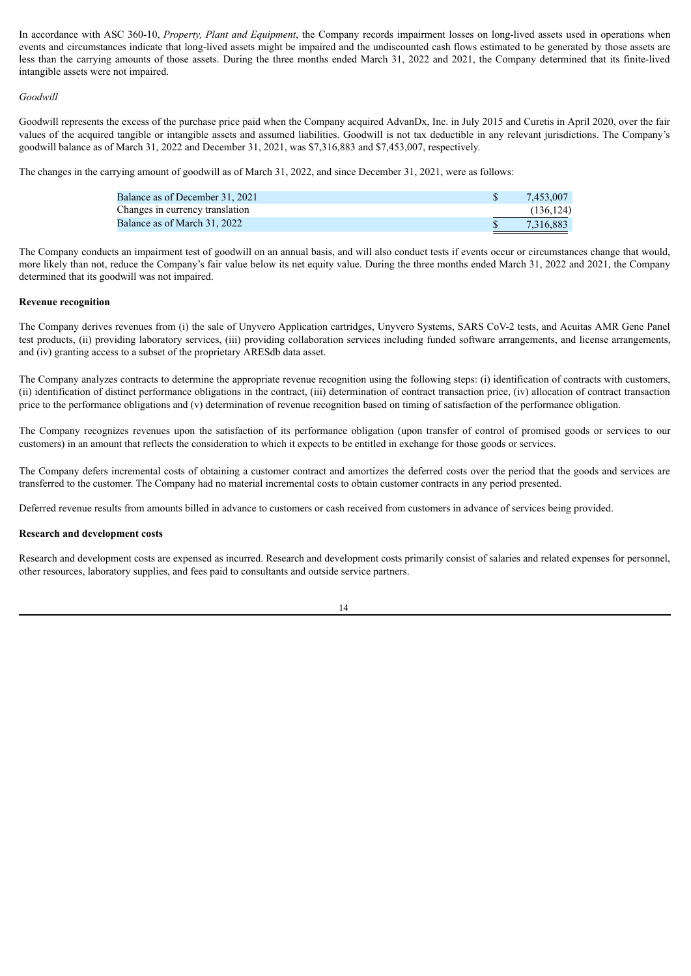In accordance with ASC 360-10, *Property, Plant and Equipment*, the Company records impairment losses on long-lived assets used in operations when events and circumstances indicate that long-lived assets might be impaired and the undiscounted cash flows estimated to be generated by those assets are less than the carrying amounts of those assets. During the three months ended March 31, 2022 and 2021, the Company determined that its finite-lived intangible assets were not impaired.

## *Goodwill*

Goodwill represents the excess of the purchase price paid when the Company acquired AdvanDx, Inc. in July 2015 and Curetis in April 2020, over the fair values of the acquired tangible or intangible assets and assumed liabilities. Goodwill is not tax deductible in any relevant jurisdictions. The Company's goodwill balance as of March 31, 2022 and December 31, 2021, was \$7,316,883 and \$7,453,007, respectively.

The changes in the carrying amount of goodwill as of March 31, 2022, and since December 31, 2021, were as follows:

| Balance as of December 31, 2021 | 7.453.007  |
|---------------------------------|------------|
| Changes in currency translation | (136, 124) |
| Balance as of March 31, 2022    | 7.316.883  |

The Company conducts an impairment test of goodwill on an annual basis, and will also conduct tests if events occur or circumstances change that would, more likely than not, reduce the Company's fair value below its net equity value. During the three months ended March 31, 2022 and 2021, the Company determined that its goodwill was not impaired.

## **Revenue recognition**

The Company derives revenues from (i) the sale of Unyvero Application cartridges, Unyvero Systems, SARS CoV-2 tests, and Acuitas AMR Gene Panel test products, (ii) providing laboratory services, (iii) providing collaboration services including funded software arrangements, and license arrangements, and (iv) granting access to a subset of the proprietary ARESdb data asset.

The Company analyzes contracts to determine the appropriate revenue recognition using the following steps: (i) identification of contracts with customers, (ii) identification of distinct performance obligations in the contract, (iii) determination of contract transaction price, (iv) allocation of contract transaction price to the performance obligations and (v) determination of revenue recognition based on timing of satisfaction of the performance obligation.

The Company recognizes revenues upon the satisfaction of its performance obligation (upon transfer of control of promised goods or services to our customers) in an amount that reflects the consideration to which it expects to be entitled in exchange for those goods or services.

The Company defers incremental costs of obtaining a customer contract and amortizes the deferred costs over the period that the goods and services are transferred to the customer. The Company had no material incremental costs to obtain customer contracts in any period presented.

Deferred revenue results from amounts billed in advance to customers or cash received from customers in advance of services being provided.

## **Research and development costs**

Research and development costs are expensed as incurred. Research and development costs primarily consist of salaries and related expenses for personnel, other resources, laboratory supplies, and fees paid to consultants and outside service partners.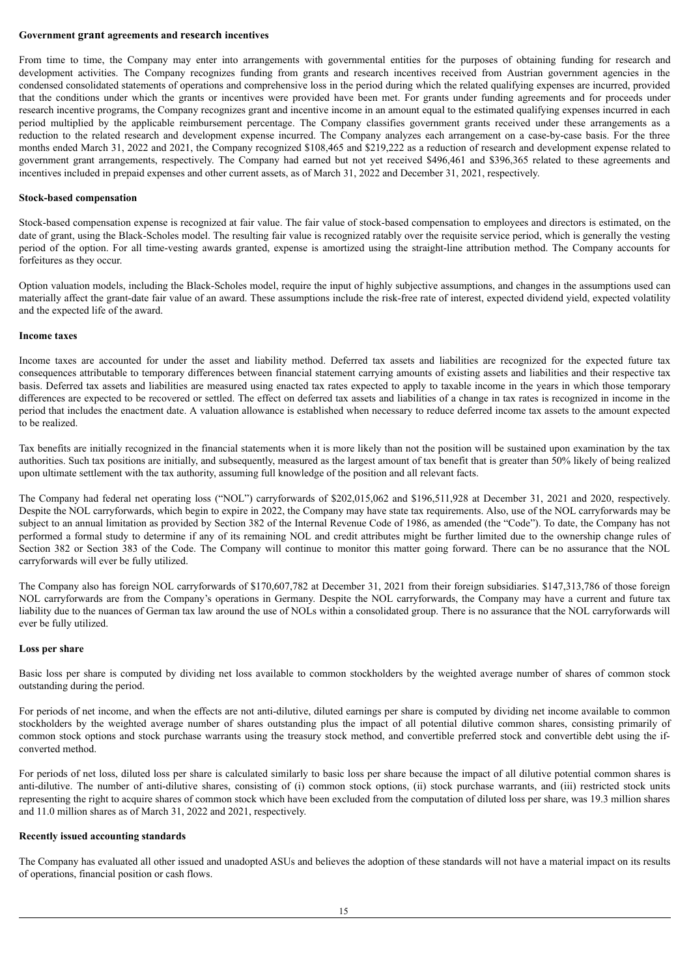#### **Government grant agreements and research incentives**

From time to time, the Company may enter into arrangements with governmental entities for the purposes of obtaining funding for research and development activities. The Company recognizes funding from grants and research incentives received from Austrian government agencies in the condensed consolidated statements of operations and comprehensive loss in the period during which the related qualifying expenses are incurred, provided that the conditions under which the grants or incentives were provided have been met. For grants under funding agreements and for proceeds under research incentive programs, the Company recognizes grant and incentive income in an amount equal to the estimated qualifying expenses incurred in each period multiplied by the applicable reimbursement percentage. The Company classifies government grants received under these arrangements as a reduction to the related research and development expense incurred. The Company analyzes each arrangement on a case-by-case basis. For the three months ended March 31, 2022 and 2021, the Company recognized \$108,465 and \$219,222 as a reduction of research and development expense related to government grant arrangements, respectively. The Company had earned but not yet received \$496,461 and \$396,365 related to these agreements and incentives included in prepaid expenses and other current assets, as of March 31, 2022 and December 31, 2021, respectively.

## **Stock-based compensation**

Stock-based compensation expense is recognized at fair value. The fair value of stock-based compensation to employees and directors is estimated, on the date of grant, using the Black-Scholes model. The resulting fair value is recognized ratably over the requisite service period, which is generally the vesting period of the option. For all time-vesting awards granted, expense is amortized using the straight-line attribution method. The Company accounts for forfeitures as they occur.

Option valuation models, including the Black-Scholes model, require the input of highly subjective assumptions, and changes in the assumptions used can materially affect the grant-date fair value of an award. These assumptions include the risk-free rate of interest, expected dividend yield, expected volatility and the expected life of the award.

#### **Income taxes**

Income taxes are accounted for under the asset and liability method. Deferred tax assets and liabilities are recognized for the expected future tax consequences attributable to temporary differences between financial statement carrying amounts of existing assets and liabilities and their respective tax basis. Deferred tax assets and liabilities are measured using enacted tax rates expected to apply to taxable income in the years in which those temporary differences are expected to be recovered or settled. The effect on deferred tax assets and liabilities of a change in tax rates is recognized in income in the period that includes the enactment date. A valuation allowance is established when necessary to reduce deferred income tax assets to the amount expected to be realized.

Tax benefits are initially recognized in the financial statements when it is more likely than not the position will be sustained upon examination by the tax authorities. Such tax positions are initially, and subsequently, measured as the largest amount of tax benefit that is greater than 50% likely of being realized upon ultimate settlement with the tax authority, assuming full knowledge of the position and all relevant facts.

The Company had federal net operating loss ("NOL") carryforwards of \$202,015,062 and \$196,511,928 at December 31, 2021 and 2020, respectively. Despite the NOL carryforwards, which begin to expire in 2022, the Company may have state tax requirements. Also, use of the NOL carryforwards may be subject to an annual limitation as provided by Section 382 of the Internal Revenue Code of 1986, as amended (the "Code"). To date, the Company has not performed a formal study to determine if any of its remaining NOL and credit attributes might be further limited due to the ownership change rules of Section 382 or Section 383 of the Code. The Company will continue to monitor this matter going forward. There can be no assurance that the NOL carryforwards will ever be fully utilized.

The Company also has foreign NOL carryforwards of \$170,607,782 at December 31, 2021 from their foreign subsidiaries. \$147,313,786 of those foreign NOL carryforwards are from the Company's operations in Germany. Despite the NOL carryforwards, the Company may have a current and future tax liability due to the nuances of German tax law around the use of NOLs within a consolidated group. There is no assurance that the NOL carryforwards will ever be fully utilized.

## **Loss per share**

Basic loss per share is computed by dividing net loss available to common stockholders by the weighted average number of shares of common stock outstanding during the period.

For periods of net income, and when the effects are not anti-dilutive, diluted earnings per share is computed by dividing net income available to common stockholders by the weighted average number of shares outstanding plus the impact of all potential dilutive common shares, consisting primarily of common stock options and stock purchase warrants using the treasury stock method, and convertible preferred stock and convertible debt using the ifconverted method.

For periods of net loss, diluted loss per share is calculated similarly to basic loss per share because the impact of all dilutive potential common shares is anti-dilutive. The number of anti-dilutive shares, consisting of (i) common stock options, (ii) stock purchase warrants, and (iii) restricted stock units representing the right to acquire shares of common stock which have been excluded from the computation of diluted loss per share, was 19.3 million shares and 11.0 million shares as of March 31, 2022 and 2021, respectively.

## **Recently issued accounting standards**

The Company has evaluated all other issued and unadopted ASUs and believes the adoption of these standards will not have a material impact on its results of operations, financial position or cash flows.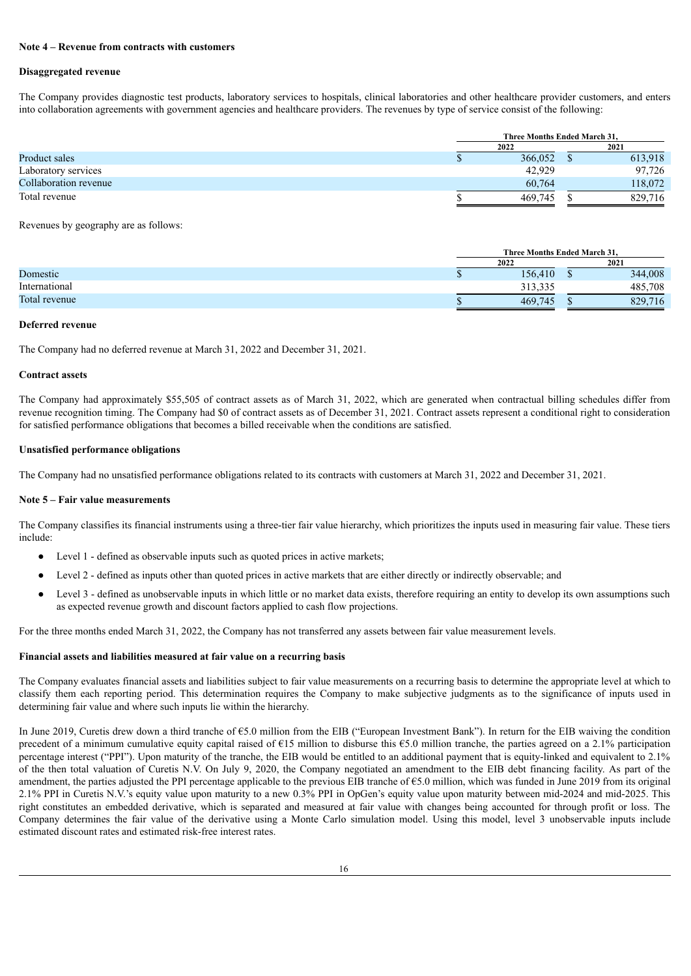#### **Note 4 – Revenue from contracts with customers**

## **Disaggregated revenue**

The Company provides diagnostic test products, laboratory services to hospitals, clinical laboratories and other healthcare provider customers, and enters into collaboration agreements with government agencies and healthcare providers. The revenues by type of service consist of the following:

|                       | Three Months Ended March 31. |  |         |  |  |
|-----------------------|------------------------------|--|---------|--|--|
|                       | 2022                         |  | 2021    |  |  |
| Product sales         | 366,052                      |  | 613,918 |  |  |
| Laboratory services   | 42,929                       |  | 97,726  |  |  |
| Collaboration revenue | 60.764                       |  | 118.072 |  |  |
| Total revenue         | 469,745                      |  | 829,716 |  |  |

Revenues by geography are as follows:

|               | Three Months Ended March 31. |         |  |  |
|---------------|------------------------------|---------|--|--|
|               | 2022                         |         |  |  |
| Domestic      | 156.410                      | 344,008 |  |  |
| International | 313,335                      | 485,708 |  |  |
| Total revenue | 469,745                      | 829,716 |  |  |

## **Deferred revenue**

The Company had no deferred revenue at March 31, 2022 and December 31, 2021.

## **Contract assets**

The Company had approximately \$55,505 of contract assets as of March 31, 2022, which are generated when contractual billing schedules differ from revenue recognition timing. The Company had \$0 of contract assets as of December 31, 2021. Contract assets represent a conditional right to consideration for satisfied performance obligations that becomes a billed receivable when the conditions are satisfied.

## **Unsatisfied performance obligations**

The Company had no unsatisfied performance obligations related to its contracts with customers at March 31, 2022 and December 31, 2021.

#### **Note 5 – Fair value measurements**

The Company classifies its financial instruments using a three-tier fair value hierarchy, which prioritizes the inputs used in measuring fair value. These tiers include:

- Level 1 defined as observable inputs such as quoted prices in active markets;
- Level 2 defined as inputs other than quoted prices in active markets that are either directly or indirectly observable; and
- Level 3 defined as unobservable inputs in which little or no market data exists, therefore requiring an entity to develop its own assumptions such as expected revenue growth and discount factors applied to cash flow projections.

For the three months ended March 31, 2022, the Company has not transferred any assets between fair value measurement levels.

#### **Financial assets and liabilities measured at fair value on a recurring basis**

The Company evaluates financial assets and liabilities subject to fair value measurements on a recurring basis to determine the appropriate level at which to classify them each reporting period. This determination requires the Company to make subjective judgments as to the significance of inputs used in determining fair value and where such inputs lie within the hierarchy.

In June 2019, Curetis drew down a third tranche of €5.0 million from the EIB ("European Investment Bank"). In return for the EIB waiving the condition precedent of a minimum cumulative equity capital raised of  $\epsilon$ 15 million to disburse this  $\epsilon$ 5.0 million tranche, the parties agreed on a 2.1% participation percentage interest ("PPI"). Upon maturity of the tranche, the EIB would be entitled to an additional payment that is equity-linked and equivalent to 2.1% of the then total valuation of Curetis N.V. On July 9, 2020, the Company negotiated an amendment to the EIB debt financing facility. As part of the amendment, the parties adjusted the PPI percentage applicable to the previous EIB tranche of  $65.0$  million, which was funded in June 2019 from its original 2.1% PPI in Curetis N.V.'s equity value upon maturity to a new 0.3% PPI in OpGen's equity value upon maturity between mid-2024 and mid-2025. This right constitutes an embedded derivative, which is separated and measured at fair value with changes being accounted for through profit or loss. The Company determines the fair value of the derivative using a Monte Carlo simulation model. Using this model, level 3 unobservable inputs include estimated discount rates and estimated risk-free interest rates.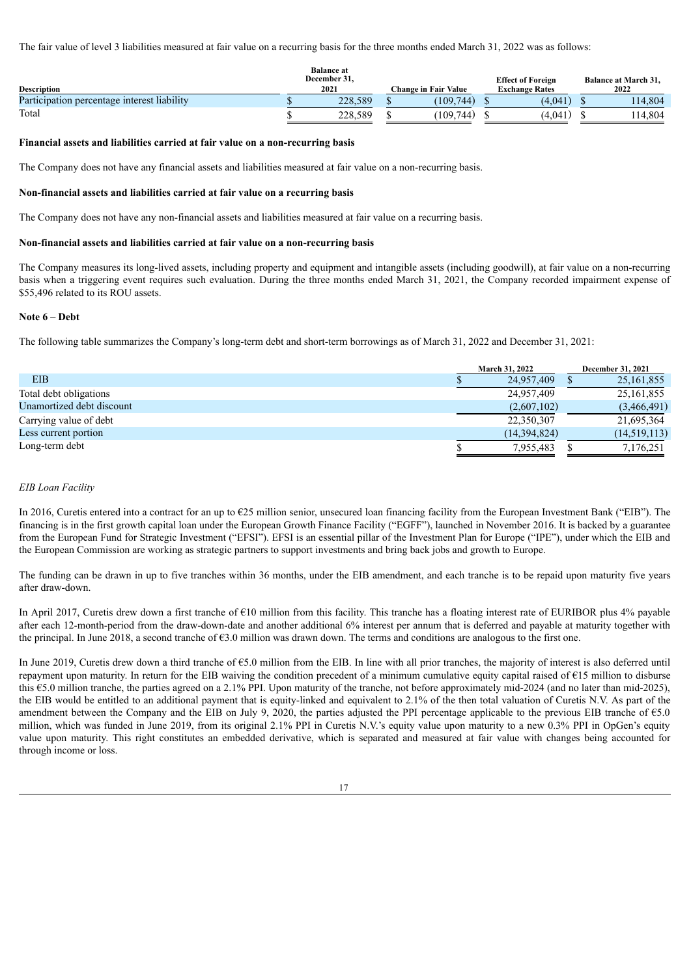The fair value of level 3 liabilities measured at fair value on a recurring basis for the three months ended March 31, 2022 was as follows:

|                                             | <b>Balance</b> at<br>December 31. |                      | <b>Effect of Foreign</b> | <b>Balance at March 31,</b> |
|---------------------------------------------|-----------------------------------|----------------------|--------------------------|-----------------------------|
| <b>Description</b>                          | 2021                              | Change in Fair Value | Exchange Rates           | 2022                        |
| Participation percentage interest liability | 228.589                           | (109.744)            | (4.04)                   | 114.804                     |
| Total                                       | 228.589                           | 109,744)             | (4.041)                  | 114.804                     |

#### **Financial assets and liabilities carried at fair value on a non-recurring basis**

The Company does not have any financial assets and liabilities measured at fair value on a non-recurring basis.

#### **Non-financial assets and liabilities carried at fair value on a recurring basis**

The Company does not have any non-financial assets and liabilities measured at fair value on a recurring basis.

## **Non-financial assets and liabilities carried at fair value on a non-recurring basis**

The Company measures its long-lived assets, including property and equipment and intangible assets (including goodwill), at fair value on a non-recurring basis when a triggering event requires such evaluation. During the three months ended March 31, 2021, the Company recorded impairment expense of \$55,496 related to its ROU assets.

#### **Note 6 – Debt**

The following table summarizes the Company's long-term debt and short-term borrowings as of March 31, 2022 and December 31, 2021:

|                           | <b>March 31, 2022</b> | <b>December 31, 2021</b> |
|---------------------------|-----------------------|--------------------------|
| <b>EIB</b>                | 24,957,409            | 25, 161, 855             |
| Total debt obligations    | 24,957,409            | 25,161,855               |
| Unamortized debt discount | (2,607,102)           | (3,466,491)              |
| Carrying value of debt    | 22,350,307            | 21,695,364               |
| Less current portion      | (14,394,824)          | (14, 519, 113)           |
| Long-term debt            | 7,955,483             | 7,176,251                |

## *EIB Loan Facility*

In 2016, Curetis entered into a contract for an up to €25 million senior, unsecured loan financing facility from the European Investment Bank ("EIB"). The financing is in the first growth capital loan under the European Growth Finance Facility ("EGFF"), launched in November 2016. It is backed by a guarantee from the European Fund for Strategic Investment ("EFSI"). EFSI is an essential pillar of the Investment Plan for Europe ("IPE"), under which the EIB and the European Commission are working as strategic partners to support investments and bring back jobs and growth to Europe.

The funding can be drawn in up to five tranches within 36 months, under the EIB amendment, and each tranche is to be repaid upon maturity five years after draw-down.

In April 2017, Curetis drew down a first tranche of €10 million from this facility. This tranche has a floating interest rate of EURIBOR plus 4% payable after each 12-month-period from the draw-down-date and another additional 6% interest per annum that is deferred and payable at maturity together with the principal. In June 2018, a second tranche of €3.0 million was drawn down. The terms and conditions are analogous to the first one.

In June 2019, Curetis drew down a third tranche of  $65.0$  million from the EIB. In line with all prior tranches, the majority of interest is also deferred until repayment upon maturity. In return for the EIB waiving the condition precedent of a minimum cumulative equity capital raised of  $E15$  million to disburse this  $€5.0$  million tranche, the parties agreed on a 2.1% PPI. Upon maturity of the tranche, not before approximately mid-2024 (and no later than mid-2025), the EIB would be entitled to an additional payment that is equity-linked and equivalent to 2.1% of the then total valuation of Curetis N.V. As part of the amendment between the Company and the EIB on July 9, 2020, the parties adjusted the PPI percentage applicable to the previous EIB tranche of  $65.0$ million, which was funded in June 2019, from its original 2.1% PPI in Curetis N.V.'s equity value upon maturity to a new 0.3% PPI in OpGen's equity value upon maturity. This right constitutes an embedded derivative, which is separated and measured at fair value with changes being accounted for through income or loss.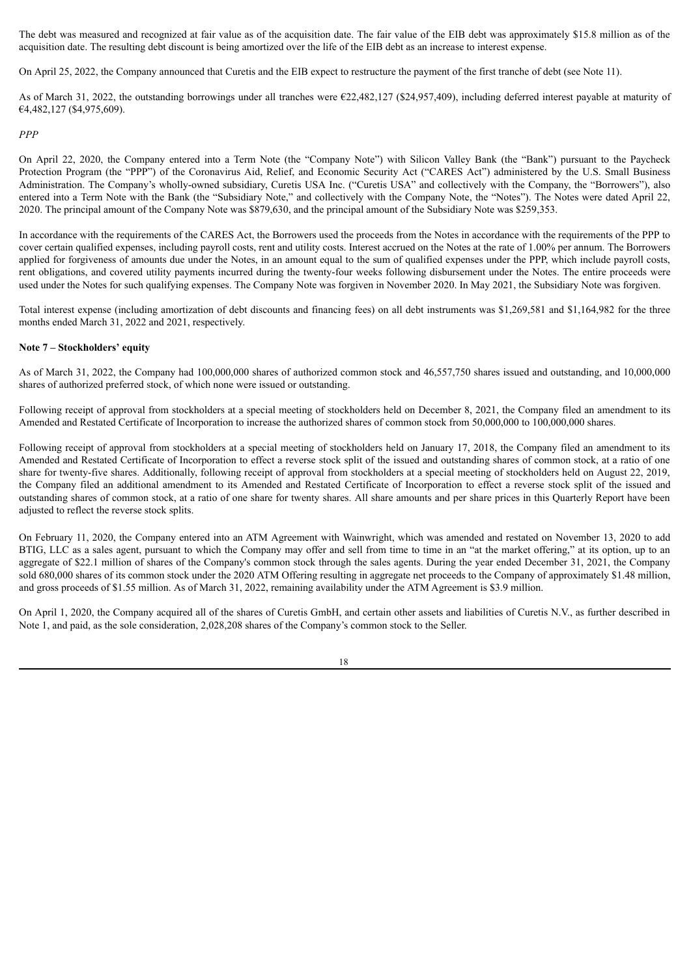The debt was measured and recognized at fair value as of the acquisition date. The fair value of the EIB debt was approximately \$15.8 million as of the acquisition date. The resulting debt discount is being amortized over the life of the EIB debt as an increase to interest expense.

On April 25, 2022, the Company announced that Curetis and the EIB expect to restructure the payment of the first tranche of debt (see Note 11).

As of March 31, 2022, the outstanding borrowings under all tranches were €22,482,127 (\$24,957,409), including deferred interest payable at maturity of €4,482,127 (\$4,975,609).

*PPP*

On April 22, 2020, the Company entered into a Term Note (the "Company Note") with Silicon Valley Bank (the "Bank") pursuant to the Paycheck Protection Program (the "PPP") of the Coronavirus Aid, Relief, and Economic Security Act ("CARES Act") administered by the U.S. Small Business Administration. The Company's wholly-owned subsidiary, Curetis USA Inc. ("Curetis USA" and collectively with the Company, the "Borrowers"), also entered into a Term Note with the Bank (the "Subsidiary Note," and collectively with the Company Note, the "Notes"). The Notes were dated April 22, 2020. The principal amount of the Company Note was \$879,630, and the principal amount of the Subsidiary Note was \$259,353.

In accordance with the requirements of the CARES Act, the Borrowers used the proceeds from the Notes in accordance with the requirements of the PPP to cover certain qualified expenses, including payroll costs, rent and utility costs. Interest accrued on the Notes at the rate of 1.00% per annum. The Borrowers applied for forgiveness of amounts due under the Notes, in an amount equal to the sum of qualified expenses under the PPP, which include payroll costs, rent obligations, and covered utility payments incurred during the twenty-four weeks following disbursement under the Notes. The entire proceeds were used under the Notes for such qualifying expenses. The Company Note was forgiven in November 2020. In May 2021, the Subsidiary Note was forgiven.

Total interest expense (including amortization of debt discounts and financing fees) on all debt instruments was \$1,269,581 and \$1,164,982 for the three months ended March 31, 2022 and 2021, respectively.

## **Note 7 – Stockholders' equity**

As of March 31, 2022, the Company had 100,000,000 shares of authorized common stock and 46,557,750 shares issued and outstanding, and 10,000,000 shares of authorized preferred stock, of which none were issued or outstanding.

Following receipt of approval from stockholders at a special meeting of stockholders held on December 8, 2021, the Company filed an amendment to its Amended and Restated Certificate of Incorporation to increase the authorized shares of common stock from 50,000,000 to 100,000,000 shares.

Following receipt of approval from stockholders at a special meeting of stockholders held on January 17, 2018, the Company filed an amendment to its Amended and Restated Certificate of Incorporation to effect a reverse stock split of the issued and outstanding shares of common stock, at a ratio of one share for twenty-five shares. Additionally, following receipt of approval from stockholders at a special meeting of stockholders held on August 22, 2019, the Company filed an additional amendment to its Amended and Restated Certificate of Incorporation to effect a reverse stock split of the issued and outstanding shares of common stock, at a ratio of one share for twenty shares. All share amounts and per share prices in this Quarterly Report have been adjusted to reflect the reverse stock splits.

On February 11, 2020, the Company entered into an ATM Agreement with Wainwright, which was amended and restated on November 13, 2020 to add BTIG, LLC as a sales agent, pursuant to which the Company may offer and sell from time to time in an "at the market offering," at its option, up to an aggregate of \$22.1 million of shares of the Company's common stock through the sales agents. During the year ended December 31, 2021, the Company sold 680,000 shares of its common stock under the 2020 ATM Offering resulting in aggregate net proceeds to the Company of approximately \$1.48 million, and gross proceeds of \$1.55 million. As of March 31, 2022, remaining availability under the ATM Agreement is \$3.9 million.

On April 1, 2020, the Company acquired all of the shares of Curetis GmbH, and certain other assets and liabilities of Curetis N.V., as further described in Note 1, and paid, as the sole consideration, 2,028,208 shares of the Company's common stock to the Seller.

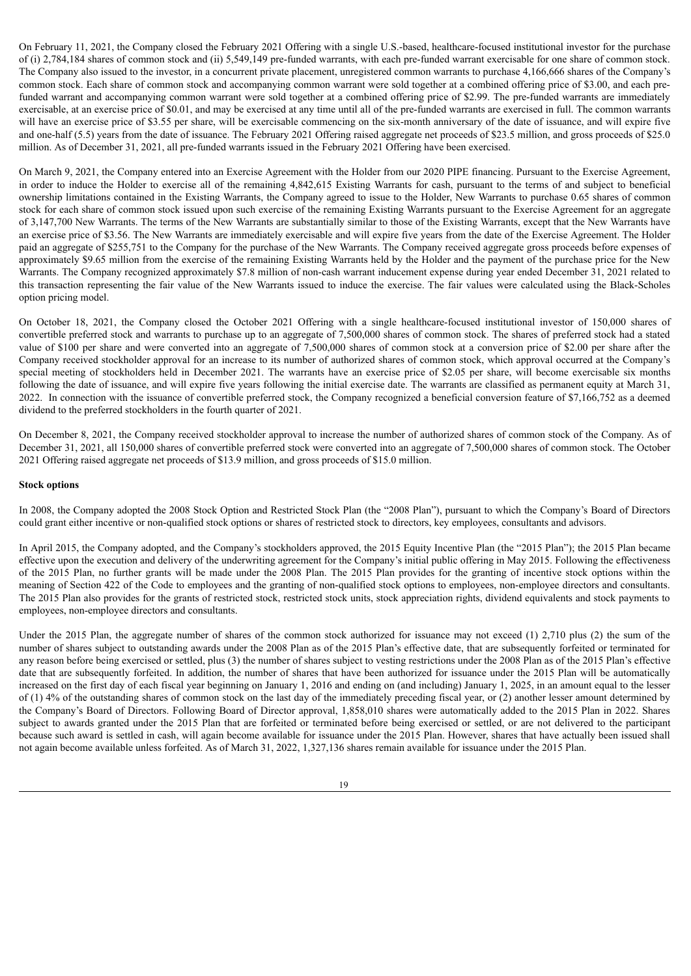On February 11, 2021, the Company closed the February 2021 Offering with a single U.S.-based, healthcare-focused institutional investor for the purchase of (i) 2,784,184 shares of common stock and (ii) 5,549,149 pre-funded warrants, with each pre-funded warrant exercisable for one share of common stock. The Company also issued to the investor, in a concurrent private placement, unregistered common warrants to purchase 4,166,666 shares of the Company's common stock. Each share of common stock and accompanying common warrant were sold together at a combined offering price of \$3.00, and each prefunded warrant and accompanying common warrant were sold together at a combined offering price of \$2.99. The pre-funded warrants are immediately exercisable, at an exercise price of \$0.01, and may be exercised at any time until all of the pre-funded warrants are exercised in full. The common warrants will have an exercise price of \$3.55 per share, will be exercisable commencing on the six-month anniversary of the date of issuance, and will expire five and one-half (5.5) years from the date of issuance. The February 2021 Offering raised aggregate net proceeds of \$23.5 million, and gross proceeds of \$25.0 million. As of December 31, 2021, all pre-funded warrants issued in the February 2021 Offering have been exercised.

On March 9, 2021, the Company entered into an Exercise Agreement with the Holder from our 2020 PIPE financing. Pursuant to the Exercise Agreement, in order to induce the Holder to exercise all of the remaining 4,842,615 Existing Warrants for cash, pursuant to the terms of and subject to beneficial ownership limitations contained in the Existing Warrants, the Company agreed to issue to the Holder, New Warrants to purchase 0.65 shares of common stock for each share of common stock issued upon such exercise of the remaining Existing Warrants pursuant to the Exercise Agreement for an aggregate of 3,147,700 New Warrants. The terms of the New Warrants are substantially similar to those of the Existing Warrants, except that the New Warrants have an exercise price of \$3.56. The New Warrants are immediately exercisable and will expire five years from the date of the Exercise Agreement. The Holder paid an aggregate of \$255,751 to the Company for the purchase of the New Warrants. The Company received aggregate gross proceeds before expenses of approximately \$9.65 million from the exercise of the remaining Existing Warrants held by the Holder and the payment of the purchase price for the New Warrants. The Company recognized approximately \$7.8 million of non-cash warrant inducement expense during year ended December 31, 2021 related to this transaction representing the fair value of the New Warrants issued to induce the exercise. The fair values were calculated using the Black-Scholes option pricing model.

On October 18, 2021, the Company closed the October 2021 Offering with a single healthcare-focused institutional investor of 150,000 shares of convertible preferred stock and warrants to purchase up to an aggregate of 7,500,000 shares of common stock. The shares of preferred stock had a stated value of \$100 per share and were converted into an aggregate of 7,500,000 shares of common stock at a conversion price of \$2.00 per share after the Company received stockholder approval for an increase to its number of authorized shares of common stock, which approval occurred at the Company's special meeting of stockholders held in December 2021. The warrants have an exercise price of \$2.05 per share, will become exercisable six months following the date of issuance, and will expire five years following the initial exercise date. The warrants are classified as permanent equity at March 31, 2022. In connection with the issuance of convertible preferred stock, the Company recognized a beneficial conversion feature of \$7,166,752 as a deemed dividend to the preferred stockholders in the fourth quarter of 2021.

On December 8, 2021, the Company received stockholder approval to increase the number of authorized shares of common stock of the Company. As of December 31, 2021, all 150,000 shares of convertible preferred stock were converted into an aggregate of 7,500,000 shares of common stock. The October 2021 Offering raised aggregate net proceeds of \$13.9 million, and gross proceeds of \$15.0 million.

#### **Stock options**

In 2008, the Company adopted the 2008 Stock Option and Restricted Stock Plan (the "2008 Plan"), pursuant to which the Company's Board of Directors could grant either incentive or non-qualified stock options or shares of restricted stock to directors, key employees, consultants and advisors.

In April 2015, the Company adopted, and the Company's stockholders approved, the 2015 Equity Incentive Plan (the "2015 Plan"); the 2015 Plan became effective upon the execution and delivery of the underwriting agreement for the Company's initial public offering in May 2015. Following the effectiveness of the 2015 Plan, no further grants will be made under the 2008 Plan. The 2015 Plan provides for the granting of incentive stock options within the meaning of Section 422 of the Code to employees and the granting of non-qualified stock options to employees, non-employee directors and consultants. The 2015 Plan also provides for the grants of restricted stock, restricted stock units, stock appreciation rights, dividend equivalents and stock payments to employees, non-employee directors and consultants.

Under the 2015 Plan, the aggregate number of shares of the common stock authorized for issuance may not exceed (1) 2,710 plus (2) the sum of the number of shares subject to outstanding awards under the 2008 Plan as of the 2015 Plan's effective date, that are subsequently forfeited or terminated for any reason before being exercised or settled, plus (3) the number of shares subject to vesting restrictions under the 2008 Plan as of the 2015 Plan's effective date that are subsequently forfeited. In addition, the number of shares that have been authorized for issuance under the 2015 Plan will be automatically increased on the first day of each fiscal year beginning on January 1, 2016 and ending on (and including) January 1, 2025, in an amount equal to the lesser of  $(1)$  4% of the outstanding shares of common stock on the last day of the immediately preceding fiscal year, or  $(2)$  another lesser amount determined by the Company's Board of Directors. Following Board of Director approval, 1,858,010 shares were automatically added to the 2015 Plan in 2022. Shares subject to awards granted under the 2015 Plan that are forfeited or terminated before being exercised or settled, or are not delivered to the participant because such award is settled in cash, will again become available for issuance under the 2015 Plan. However, shares that have actually been issued shall not again become available unless forfeited. As of March 31, 2022, 1,327,136 shares remain available for issuance under the 2015 Plan.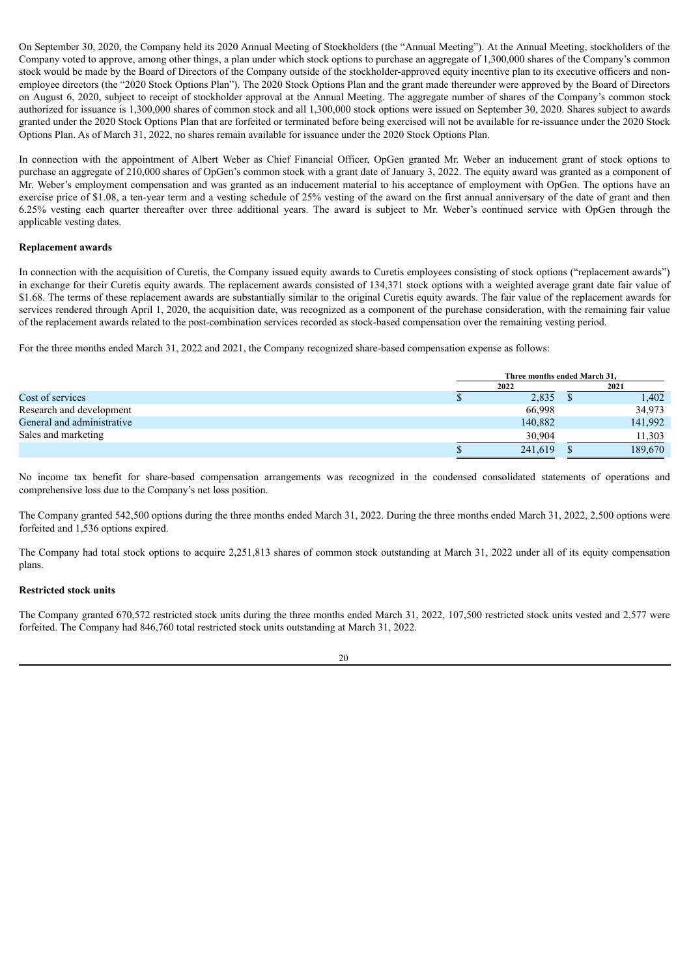On September 30, 2020, the Company held its 2020 Annual Meeting of Stockholders (the "Annual Meeting"). At the Annual Meeting, stockholders of the Company voted to approve, among other things, a plan under which stock options to purchase an aggregate of 1,300,000 shares of the Company's common stock would be made by the Board of Directors of the Company outside of the stockholder-approved equity incentive plan to its executive officers and nonemployee directors (the "2020 Stock Options Plan"). The 2020 Stock Options Plan and the grant made thereunder were approved by the Board of Directors on August 6, 2020, subject to receipt of stockholder approval at the Annual Meeting. The aggregate number of shares of the Company's common stock authorized for issuance is 1,300,000 shares of common stock and all 1,300,000 stock options were issued on September 30, 2020. Shares subject to awards granted under the 2020 Stock Options Plan that are forfeited or terminated before being exercised will not be available for re-issuance under the 2020 Stock Options Plan. As of March 31, 2022, no shares remain available for issuance under the 2020 Stock Options Plan.

In connection with the appointment of Albert Weber as Chief Financial Officer, OpGen granted Mr. Weber an inducement grant of stock options to purchase an aggregate of 210,000 shares of OpGen's common stock with a grant date of January 3, 2022. The equity award was granted as a component of Mr. Weber's employment compensation and was granted as an inducement material to his acceptance of employment with OpGen. The options have an exercise price of \$1.08, a ten-year term and a vesting schedule of 25% vesting of the award on the first annual anniversary of the date of grant and then 6.25% vesting each quarter thereafter over three additional years. The award is subject to Mr. Weber's continued service with OpGen through the applicable vesting dates.

## **Replacement awards**

In connection with the acquisition of Curetis, the Company issued equity awards to Curetis employees consisting of stock options ("replacement awards") in exchange for their Curetis equity awards. The replacement awards consisted of 134,371 stock options with a weighted average grant date fair value of \$1.68. The terms of these replacement awards are substantially similar to the original Curetis equity awards. The fair value of the replacement awards for services rendered through April 1, 2020, the acquisition date, was recognized as a component of the purchase consideration, with the remaining fair value of the replacement awards related to the post-combination services recorded as stock-based compensation over the remaining vesting period.

For the three months ended March 31, 2022 and 2021, the Company recognized share-based compensation expense as follows:

|                            | Three months ended March 31, |  |         |  |  |
|----------------------------|------------------------------|--|---------|--|--|
|                            | 2022                         |  | 2021    |  |  |
| Cost of services           | 2,835                        |  | 1,402   |  |  |
| Research and development   | 66,998                       |  | 34,973  |  |  |
| General and administrative | 140,882                      |  | 141,992 |  |  |
| Sales and marketing        | 30,904                       |  | 11,303  |  |  |
|                            | 241,619                      |  | 189,670 |  |  |

No income tax benefit for share-based compensation arrangements was recognized in the condensed consolidated statements of operations and comprehensive loss due to the Company's net loss position.

The Company granted 542,500 options during the three months ended March 31, 2022. During the three months ended March 31, 2022, 2,500 options were forfeited and 1,536 options expired.

The Company had total stock options to acquire 2,251,813 shares of common stock outstanding at March 31, 2022 under all of its equity compensation plans.

## **Restricted stock units**

The Company granted 670,572 restricted stock units during the three months ended March 31, 2022, 107,500 restricted stock units vested and 2,577 were forfeited. The Company had 846,760 total restricted stock units outstanding at March 31, 2022.

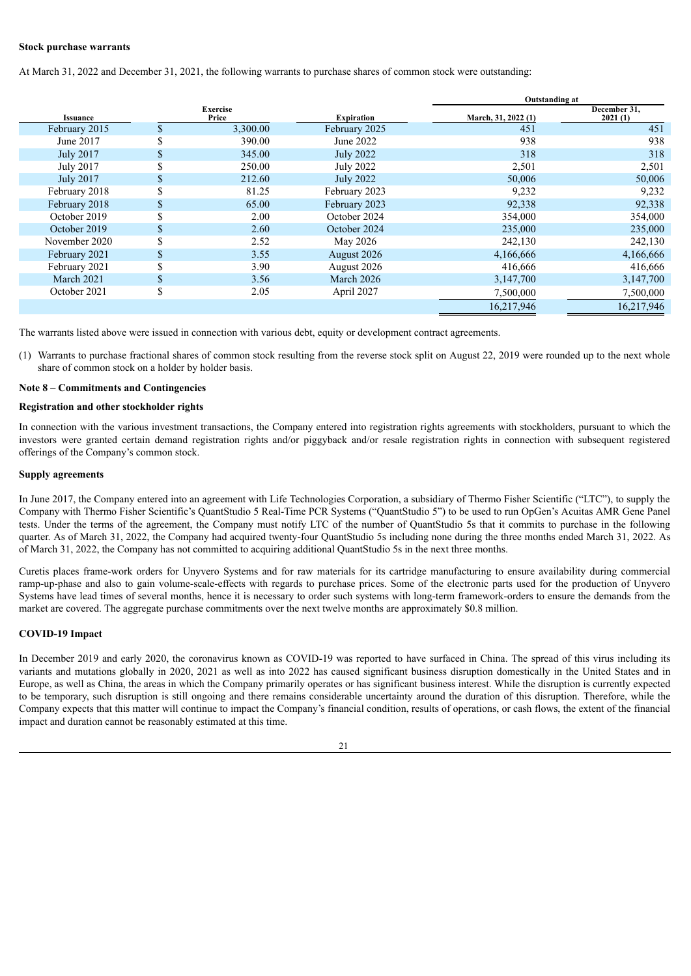#### **Stock purchase warrants**

At March 31, 2022 and December 31, 2021, the following warrants to purchase shares of common stock were outstanding:

|                  |                          |                   |                     | <b>Outstanding at</b>   |
|------------------|--------------------------|-------------------|---------------------|-------------------------|
| <b>Issuance</b>  | <b>Exercise</b><br>Price | <b>Expiration</b> | March, 31, 2022 (1) | December 31,<br>2021(1) |
| February 2015    | \$<br>3,300.00           | February 2025     | 451                 | 451                     |
| June 2017        | \$<br>390.00             | June 2022         | 938                 | 938                     |
| <b>July 2017</b> | \$<br>345.00             | <b>July 2022</b>  | 318                 | 318                     |
| July 2017        | \$<br>250.00             | July 2022         | 2,501               | 2,501                   |
| July 2017        | \$<br>212.60             | July 2022         | 50,006              | 50,006                  |
| February 2018    | \$<br>81.25              | February 2023     | 9,232               | 9,232                   |
| February 2018    | \$<br>65.00              | February 2023     | 92,338              | 92,338                  |
| October 2019     | \$<br>2.00               | October 2024      | 354,000             | 354,000                 |
| October 2019     | \$<br>2.60               | October 2024      | 235,000             | 235,000                 |
| November 2020    | \$<br>2.52               | May 2026          | 242,130             | 242,130                 |
| February 2021    | \$<br>3.55               | August 2026       | 4,166,666           | 4,166,666               |
| February 2021    | \$<br>3.90               | August 2026       | 416,666             | 416,666                 |
| March 2021       | \$<br>3.56               | March 2026        | 3,147,700           | 3,147,700               |
| October 2021     | \$<br>2.05               | April 2027        | 7,500,000           | 7,500,000               |
|                  |                          |                   | 16,217,946          | 16,217,946              |

The warrants listed above were issued in connection with various debt, equity or development contract agreements.

(1) Warrants to purchase fractional shares of common stock resulting from the reverse stock split on August 22, 2019 were rounded up to the next whole share of common stock on a holder by holder basis.

#### **Note 8 – Commitments and Contingencies**

#### **Registration and other stockholder rights**

In connection with the various investment transactions, the Company entered into registration rights agreements with stockholders, pursuant to which the investors were granted certain demand registration rights and/or piggyback and/or resale registration rights in connection with subsequent registered offerings of the Company's common stock.

## **Supply agreements**

In June 2017, the Company entered into an agreement with Life Technologies Corporation, a subsidiary of Thermo Fisher Scientific ("LTC"), to supply the Company with Thermo Fisher Scientific's QuantStudio 5 Real-Time PCR Systems ("QuantStudio 5") to be used to run OpGen's Acuitas AMR Gene Panel tests. Under the terms of the agreement, the Company must notify LTC of the number of QuantStudio 5s that it commits to purchase in the following quarter. As of March 31, 2022, the Company had acquired twenty-four QuantStudio 5s including none during the three months ended March 31, 2022. As of March 31, 2022, the Company has not committed to acquiring additional QuantStudio 5s in the next three months.

Curetis places frame-work orders for Unyvero Systems and for raw materials for its cartridge manufacturing to ensure availability during commercial ramp-up-phase and also to gain volume-scale-effects with regards to purchase prices. Some of the electronic parts used for the production of Unyvero Systems have lead times of several months, hence it is necessary to order such systems with long-term framework-orders to ensure the demands from the market are covered. The aggregate purchase commitments over the next twelve months are approximately \$0.8 million.

#### **COVID-19 Impact**

In December 2019 and early 2020, the coronavirus known as COVID-19 was reported to have surfaced in China. The spread of this virus including its variants and mutations globally in 2020, 2021 as well as into 2022 has caused significant business disruption domestically in the United States and in Europe, as well as China, the areas in which the Company primarily operates or has significant business interest. While the disruption is currently expected to be temporary, such disruption is still ongoing and there remains considerable uncertainty around the duration of this disruption. Therefore, while the Company expects that this matter will continue to impact the Company's financial condition, results of operations, or cash flows, the extent of the financial impact and duration cannot be reasonably estimated at this time.

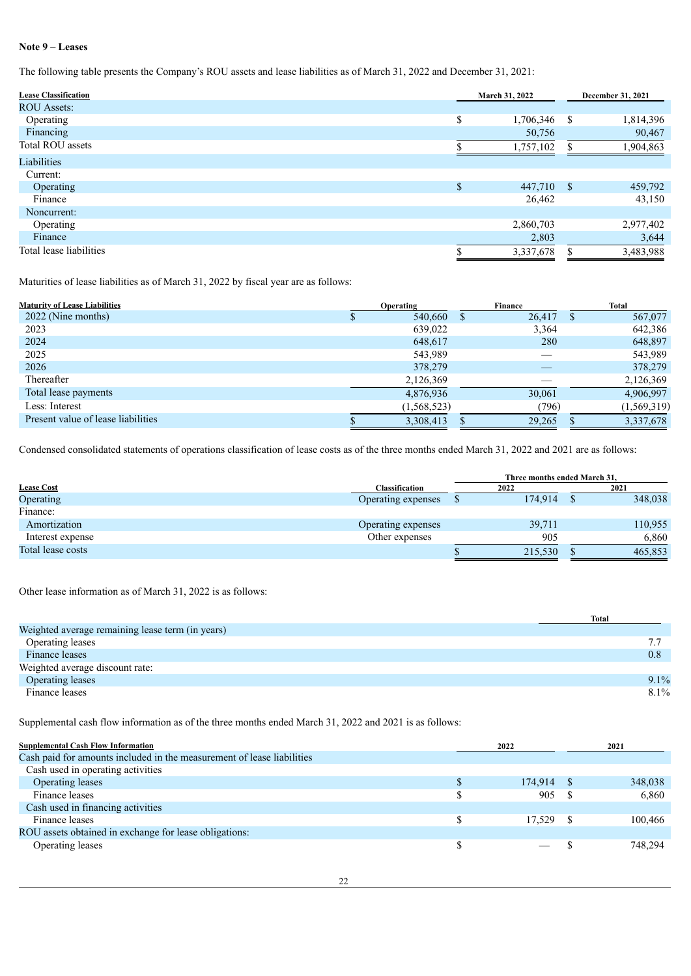# **Note 9 – Leases**

The following table presents the Company's ROU assets and lease liabilities as of March 31, 2022 and December 31, 2021:

| <b>Lease Classification</b> | March 31, 2022 |           |    | December 31, 2021 |  |
|-----------------------------|----------------|-----------|----|-------------------|--|
| <b>ROU Assets:</b>          |                |           |    |                   |  |
| Operating                   | S              | 1,706,346 | S  | 1,814,396         |  |
| Financing                   |                | 50,756    |    | 90,467            |  |
| <b>Total ROU assets</b>     |                | 1,757,102 |    | 1,904,863         |  |
| Liabilities                 |                |           |    |                   |  |
| Current:                    |                |           |    |                   |  |
| Operating                   | S              | 447,710   | -S | 459,792           |  |
| Finance                     |                | 26,462    |    | 43,150            |  |
| Noncurrent:                 |                |           |    |                   |  |
| Operating                   |                | 2,860,703 |    | 2,977,402         |  |
| Finance                     |                | 2,803     |    | 3,644             |  |
| Total lease liabilities     |                | 3,337,678 |    | 3,483,988         |  |

Maturities of lease liabilities as of March 31, 2022 by fiscal year are as follows:

| <b>Maturity of Lease Liabilities</b> | <b>Operating</b> | Finance | Total         |
|--------------------------------------|------------------|---------|---------------|
| 2022 (Nine months)                   | 540,660          | 26,417  | 567,077       |
| 2023                                 | 639,022          | 3,364   | 642,386       |
| 2024                                 | 648,617          | 280     | 648,897       |
| 2025                                 | 543,989          |         | 543,989       |
| 2026                                 | 378,279          |         | 378,279       |
| Thereafter                           | 2,126,369        |         | 2,126,369     |
| Total lease payments                 | 4,876,936        | 30,061  | 4,906,997     |
| Less: Interest                       | (1,568,523)      | (796)   | (1, 569, 319) |
| Present value of lease liabilities   | 3,308,413        | 29,265  | 3,337,678     |

Condensed consolidated statements of operations classification of lease costs as of the three months ended March 31, 2022 and 2021 are as follows:

|                   |                    | Three months ended March 31. |         |  |         |  |  |
|-------------------|--------------------|------------------------------|---------|--|---------|--|--|
| <b>Lease Cost</b> | Classification     |                              | 2022    |  | 2021    |  |  |
| Operating         | Operating expenses |                              | 174,914 |  | 348,038 |  |  |
| Finance:          |                    |                              |         |  |         |  |  |
| Amortization      | Operating expenses |                              | 39,711  |  | 110,955 |  |  |
| Interest expense  | Other expenses     |                              | 905     |  | 6,860   |  |  |
| Total lease costs |                    |                              | 215.530 |  | 465,853 |  |  |

Other lease information as of March 31, 2022 is as follows:

|                                                  | <b>Total</b> |
|--------------------------------------------------|--------------|
| Weighted average remaining lease term (in years) |              |
| Operating leases                                 | 7.7          |
| Finance leases                                   | 0.8          |
| Weighted average discount rate:                  |              |
| Operating leases                                 | 9.1%         |
| Finance leases                                   | 8.1%         |

Supplemental cash flow information as of the three months ended March 31, 2022 and 2021 is as follows:

| <b>Supplemental Cash Flow Information</b>                              | 2022 |         | 2021    |
|------------------------------------------------------------------------|------|---------|---------|
| Cash paid for amounts included in the measurement of lease liabilities |      |         |         |
| Cash used in operating activities                                      |      |         |         |
| <b>Operating leases</b>                                                |      | 174,914 | 348,038 |
| Finance leases                                                         |      | 905     | 6,860   |
| Cash used in financing activities                                      |      |         |         |
| Finance leases                                                         |      | 17.529  | 100,466 |
| ROU assets obtained in exchange for lease obligations:                 |      |         |         |
| Operating leases                                                       |      |         | 748.294 |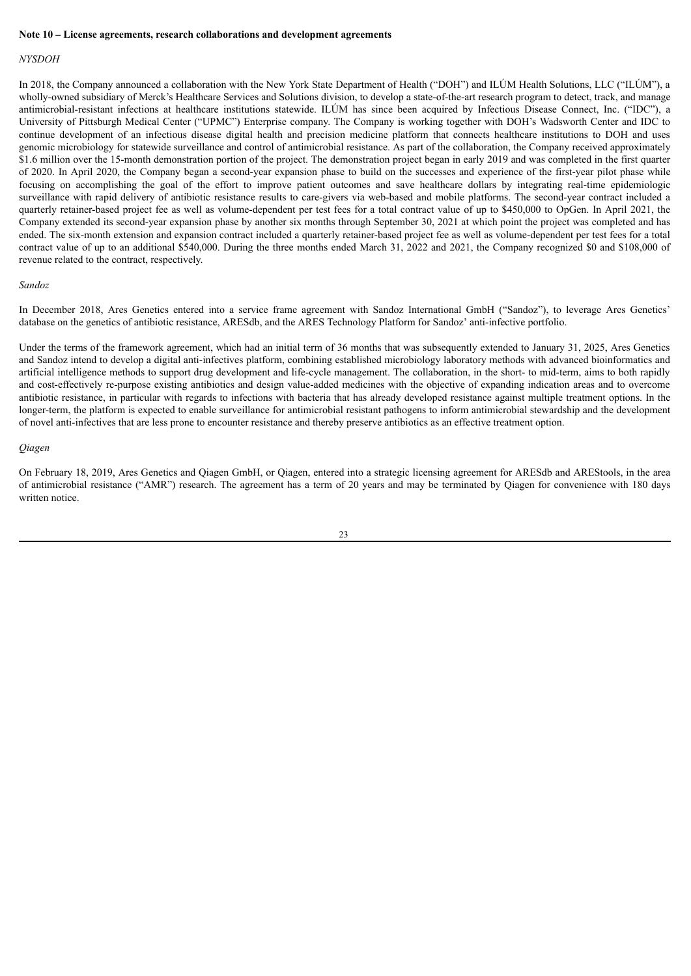#### **Note 10 – License agreements, research collaborations and development agreements**

#### *NYSDOH*

In 2018, the Company announced a collaboration with the New York State Department of Health ("DOH") and ILÚM Health Solutions, LLC ("ILÚM"), a wholly-owned subsidiary of Merck's Healthcare Services and Solutions division, to develop a state-of-the-art research program to detect, track, and manage antimicrobial-resistant infections at healthcare institutions statewide. ILÚM has since been acquired by Infectious Disease Connect, Inc. ("IDC"), a University of Pittsburgh Medical Center ("UPMC") Enterprise company. The Company is working together with DOH's Wadsworth Center and IDC to continue development of an infectious disease digital health and precision medicine platform that connects healthcare institutions to DOH and uses genomic microbiology for statewide surveillance and control of antimicrobial resistance. As part of the collaboration, the Company received approximately \$1.6 million over the 15-month demonstration portion of the project. The demonstration project began in early 2019 and was completed in the first quarter of 2020. In April 2020, the Company began a second-year expansion phase to build on the successes and experience of the first-year pilot phase while focusing on accomplishing the goal of the effort to improve patient outcomes and save healthcare dollars by integrating real-time epidemiologic surveillance with rapid delivery of antibiotic resistance results to care-givers via web-based and mobile platforms. The second-year contract included a quarterly retainer-based project fee as well as volume-dependent per test fees for a total contract value of up to \$450,000 to OpGen. In April 2021, the Company extended its second-year expansion phase by another six months through September 30, 2021 at which point the project was completed and has ended. The six-month extension and expansion contract included a quarterly retainer-based project fee as well as volume-dependent per test fees for a total contract value of up to an additional \$540,000. During the three months ended March 31, 2022 and 2021, the Company recognized \$0 and \$108,000 of revenue related to the contract, respectively.

#### *Sandoz*

In December 2018, Ares Genetics entered into a service frame agreement with Sandoz International GmbH ("Sandoz"), to leverage Ares Genetics' database on the genetics of antibiotic resistance, ARESdb, and the ARES Technology Platform for Sandoz' anti-infective portfolio.

Under the terms of the framework agreement, which had an initial term of 36 months that was subsequently extended to January 31, 2025, Ares Genetics and Sandoz intend to develop a digital anti-infectives platform, combining established microbiology laboratory methods with advanced bioinformatics and artificial intelligence methods to support drug development and life-cycle management. The collaboration, in the short- to mid-term, aims to both rapidly and cost-effectively re-purpose existing antibiotics and design value-added medicines with the objective of expanding indication areas and to overcome antibiotic resistance, in particular with regards to infections with bacteria that has already developed resistance against multiple treatment options. In the longer-term, the platform is expected to enable surveillance for antimicrobial resistant pathogens to inform antimicrobial stewardship and the development of novel anti-infectives that are less prone to encounter resistance and thereby preserve antibiotics as an effective treatment option.

#### *Qiagen*

On February 18, 2019, Ares Genetics and Qiagen GmbH, or Qiagen, entered into a strategic licensing agreement for ARESdb and AREStools, in the area of antimicrobial resistance ("AMR") research. The agreement has a term of 20 years and may be terminated by Qiagen for convenience with 180 days written notice.

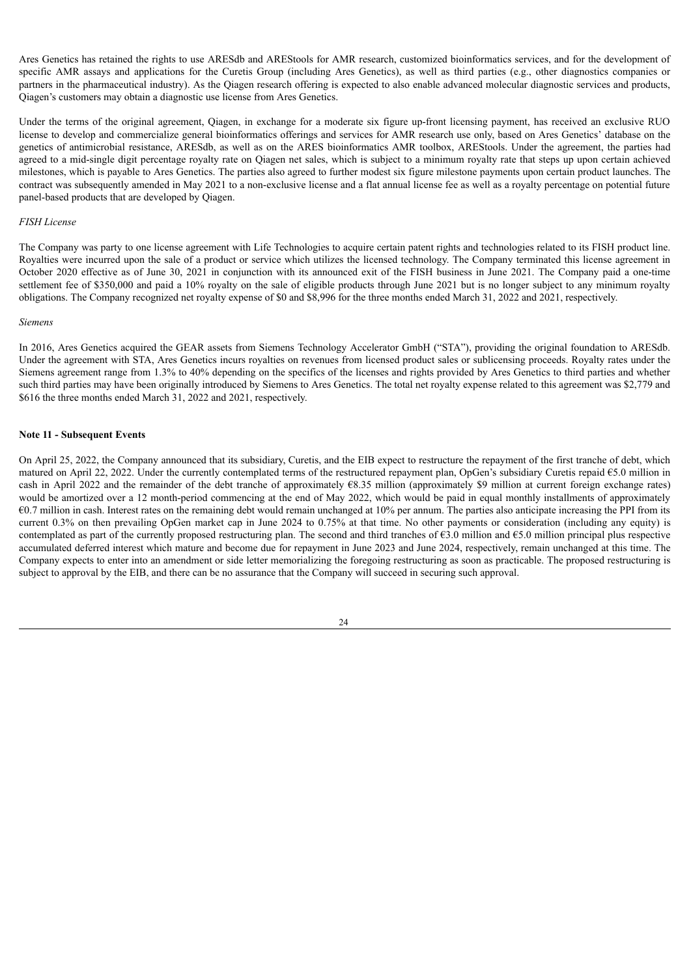Ares Genetics has retained the rights to use ARESdb and AREStools for AMR research, customized bioinformatics services, and for the development of specific AMR assays and applications for the Curetis Group (including Ares Genetics), as well as third parties (e.g., other diagnostics companies or partners in the pharmaceutical industry). As the Qiagen research offering is expected to also enable advanced molecular diagnostic services and products, Qiagen's customers may obtain a diagnostic use license from Ares Genetics.

Under the terms of the original agreement, Qiagen, in exchange for a moderate six figure up-front licensing payment, has received an exclusive RUO license to develop and commercialize general bioinformatics offerings and services for AMR research use only, based on Ares Genetics' database on the genetics of antimicrobial resistance, ARESdb, as well as on the ARES bioinformatics AMR toolbox, AREStools. Under the agreement, the parties had agreed to a mid-single digit percentage royalty rate on Qiagen net sales, which is subject to a minimum royalty rate that steps up upon certain achieved milestones, which is payable to Ares Genetics. The parties also agreed to further modest six figure milestone payments upon certain product launches. The contract was subsequently amended in May 2021 to a non-exclusive license and a flat annual license fee as well as a royalty percentage on potential future panel-based products that are developed by Qiagen.

### *FISH License*

The Company was party to one license agreement with Life Technologies to acquire certain patent rights and technologies related to its FISH product line. Royalties were incurred upon the sale of a product or service which utilizes the licensed technology. The Company terminated this license agreement in October 2020 effective as of June 30, 2021 in conjunction with its announced exit of the FISH business in June 2021. The Company paid a one-time settlement fee of \$350,000 and paid a 10% royalty on the sale of eligible products through June 2021 but is no longer subject to any minimum royalty obligations. The Company recognized net royalty expense of \$0 and \$8,996 for the three months ended March 31, 2022 and 2021, respectively.

## *Siemens*

In 2016, Ares Genetics acquired the GEAR assets from Siemens Technology Accelerator GmbH ("STA"), providing the original foundation to ARESdb. Under the agreement with STA, Ares Genetics incurs royalties on revenues from licensed product sales or sublicensing proceeds. Royalty rates under the Siemens agreement range from 1.3% to 40% depending on the specifics of the licenses and rights provided by Ares Genetics to third parties and whether such third parties may have been originally introduced by Siemens to Ares Genetics. The total net royalty expense related to this agreement was \$2,779 and \$616 the three months ended March 31, 2022 and 2021, respectively.

### **Note 11 - Subsequent Events**

On April 25, 2022, the Company announced that its subsidiary, Curetis, and the EIB expect to restructure the repayment of the first tranche of debt, which matured on April 22, 2022. Under the currently contemplated terms of the restructured repayment plan, OpGen's subsidiary Curetis repaid €5.0 million in cash in April 2022 and the remainder of the debt tranche of approximately €8.35 million (approximately \$9 million at current foreign exchange rates) would be amortized over a 12 month-period commencing at the end of May 2022, which would be paid in equal monthly installments of approximately €0.7 million in cash. Interest rates on the remaining debt would remain unchanged at 10% per annum. The parties also anticipate increasing the PPI from its current 0.3% on then prevailing OpGen market cap in June 2024 to 0.75% at that time. No other payments or consideration (including any equity) is contemplated as part of the currently proposed restructuring plan. The second and third tranches of  $\epsilon$ 3.0 million and  $\epsilon$ 5.0 million principal plus respective accumulated deferred interest which mature and become due for repayment in June 2023 and June 2024, respectively, remain unchanged at this time. The Company expects to enter into an amendment or side letter memorializing the foregoing restructuring as soon as practicable. The proposed restructuring is subject to approval by the EIB, and there can be no assurance that the Company will succeed in securing such approval.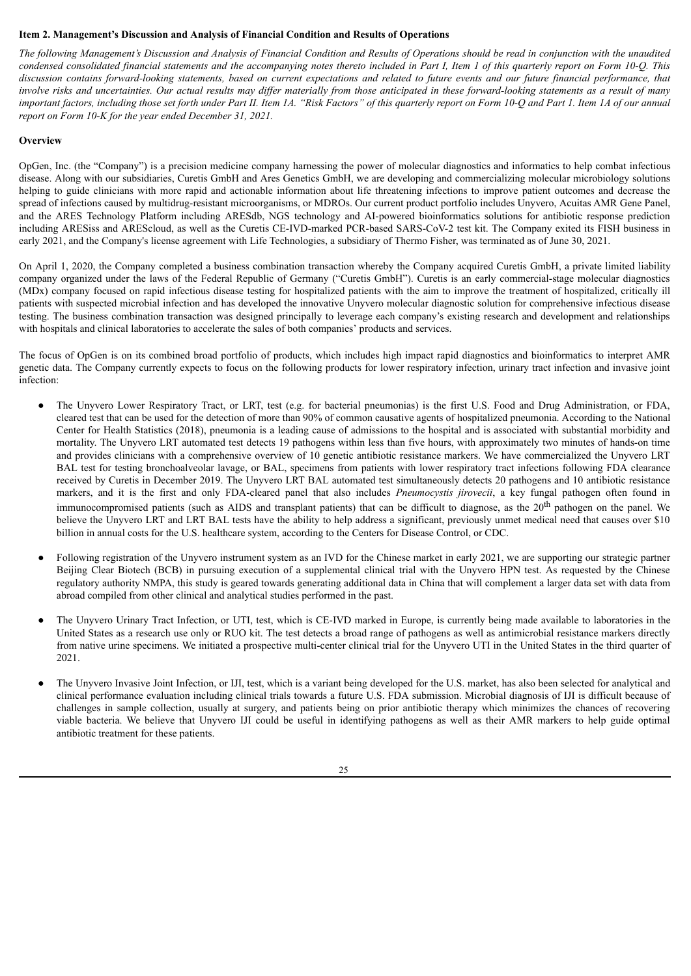## <span id="page-24-0"></span>**Item 2. Management's Discussion and Analysis of Financial Condition and Results of Operations**

The following Management's Discussion and Analysis of Financial Condition and Results of Operations should be read in conjunction with the unaudited condensed consolidated financial statements and the accompanying notes thereto included in Part I, Item 1 of this quarterly report on Form 10-Q. This discussion contains forward-looking statements, based on current expectations and related to future events and our future financial performance, that involve risks and uncertainties. Our actual results may differ materially from those anticipated in these forward-looking statements as a result of many important factors, including those set forth under Part II. Item 1A. "Risk Factors" of this quarterly report on Form 10-Q and Part 1. Item 1A of our annual *report on Form 10-K for the year ended December 31, 2021.*

## **Overview**

OpGen, Inc. (the "Company") is a precision medicine company harnessing the power of molecular diagnostics and informatics to help combat infectious disease. Along with our subsidiaries, Curetis GmbH and Ares Genetics GmbH, we are developing and commercializing molecular microbiology solutions helping to guide clinicians with more rapid and actionable information about life threatening infections to improve patient outcomes and decrease the spread of infections caused by multidrug-resistant microorganisms, or MDROs. Our current product portfolio includes Unyvero, Acuitas AMR Gene Panel, and the ARES Technology Platform including ARESdb, NGS technology and AI-powered bioinformatics solutions for antibiotic response prediction including ARESiss and AREScloud, as well as the Curetis CE-IVD-marked PCR-based SARS-CoV-2 test kit. The Company exited its FISH business in early 2021, and the Company's license agreement with Life Technologies, a subsidiary of Thermo Fisher, was terminated as of June 30, 2021.

On April 1, 2020, the Company completed a business combination transaction whereby the Company acquired Curetis GmbH, a private limited liability company organized under the laws of the Federal Republic of Germany ("Curetis GmbH"). Curetis is an early commercial-stage molecular diagnostics (MDx) company focused on rapid infectious disease testing for hospitalized patients with the aim to improve the treatment of hospitalized, critically ill patients with suspected microbial infection and has developed the innovative Unyvero molecular diagnostic solution for comprehensive infectious disease testing. The business combination transaction was designed principally to leverage each company's existing research and development and relationships with hospitals and clinical laboratories to accelerate the sales of both companies' products and services.

The focus of OpGen is on its combined broad portfolio of products, which includes high impact rapid diagnostics and bioinformatics to interpret AMR genetic data. The Company currently expects to focus on the following products for lower respiratory infection, urinary tract infection and invasive joint infection:

- The Unyvero Lower Respiratory Tract, or LRT, test (e.g. for bacterial pneumonias) is the first U.S. Food and Drug Administration, or FDA, cleared test that can be used for the detection of more than 90% of common causative agents of hospitalized pneumonia. According to the National Center for Health Statistics (2018), pneumonia is a leading cause of admissions to the hospital and is associated with substantial morbidity and mortality. The Unyvero LRT automated test detects 19 pathogens within less than five hours, with approximately two minutes of hands-on time and provides clinicians with a comprehensive overview of 10 genetic antibiotic resistance markers. We have commercialized the Unyvero LRT BAL test for testing bronchoalveolar lavage, or BAL, specimens from patients with lower respiratory tract infections following FDA clearance received by Curetis in December 2019. The Unyvero LRT BAL automated test simultaneously detects 20 pathogens and 10 antibiotic resistance markers, and it is the first and only FDA-cleared panel that also includes *Pneumocystis jirovecii*, a key fungal pathogen often found in immunocompromised patients (such as AIDS and transplant patients) that can be difficult to diagnose, as the 20<sup>th</sup> pathogen on the panel. We believe the Unyvero LRT and LRT BAL tests have the ability to help address a significant, previously unmet medical need that causes over \$10 billion in annual costs for the U.S. healthcare system, according to the Centers for Disease Control, or CDC.
- Following registration of the Unyvero instrument system as an IVD for the Chinese market in early 2021, we are supporting our strategic partner Beijing Clear Biotech (BCB) in pursuing execution of a supplemental clinical trial with the Unyvero HPN test. As requested by the Chinese regulatory authority NMPA, this study is geared towards generating additional data in China that will complement a larger data set with data from abroad compiled from other clinical and analytical studies performed in the past.
- The Unyvero Urinary Tract Infection, or UTI, test, which is CE-IVD marked in Europe, is currently being made available to laboratories in the United States as a research use only or RUO kit. The test detects a broad range of pathogens as well as antimicrobial resistance markers directly from native urine specimens. We initiated a prospective multi-center clinical trial for the Unyvero UTI in the United States in the third quarter of 2021.
- The Unyvero Invasive Joint Infection, or IJI, test, which is a variant being developed for the U.S. market, has also been selected for analytical and clinical performance evaluation including clinical trials towards a future U.S. FDA submission. Microbial diagnosis of IJI is difficult because of challenges in sample collection, usually at surgery, and patients being on prior antibiotic therapy which minimizes the chances of recovering viable bacteria. We believe that Unyvero IJI could be useful in identifying pathogens as well as their AMR markers to help guide optimal antibiotic treatment for these patients.

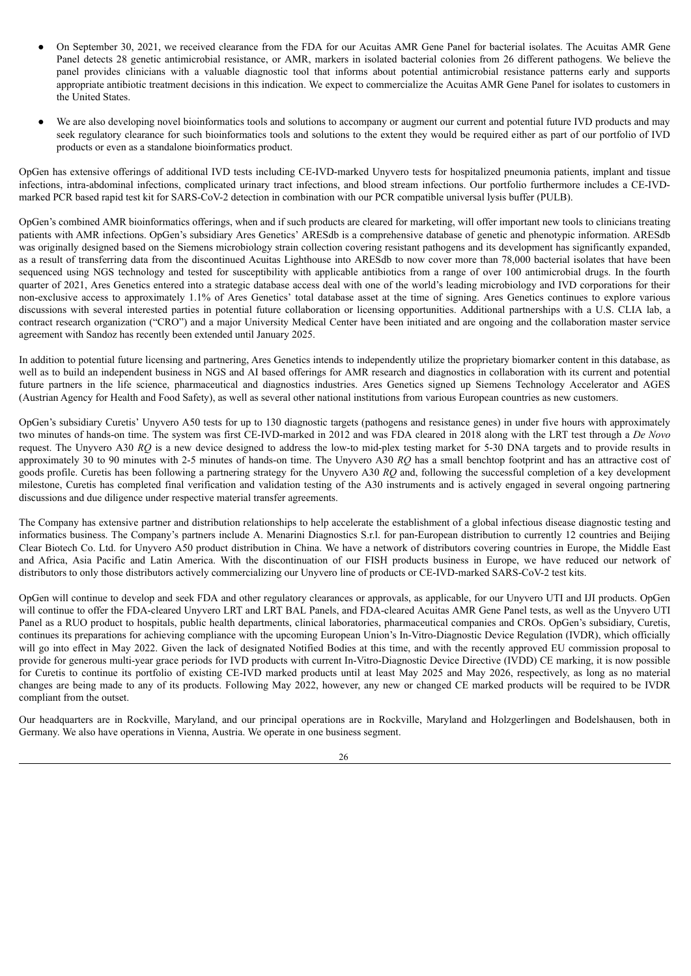- On September 30, 2021, we received clearance from the FDA for our Acuitas AMR Gene Panel for bacterial isolates. The Acuitas AMR Gene Panel detects 28 genetic antimicrobial resistance, or AMR, markers in isolated bacterial colonies from 26 different pathogens. We believe the panel provides clinicians with a valuable diagnostic tool that informs about potential antimicrobial resistance patterns early and supports appropriate antibiotic treatment decisions in this indication. We expect to commercialize the Acuitas AMR Gene Panel for isolates to customers in the United States.
- We are also developing novel bioinformatics tools and solutions to accompany or augment our current and potential future IVD products and may seek regulatory clearance for such bioinformatics tools and solutions to the extent they would be required either as part of our portfolio of IVD products or even as a standalone bioinformatics product.

OpGen has extensive offerings of additional IVD tests including CE-IVD-marked Unyvero tests for hospitalized pneumonia patients, implant and tissue infections, intra-abdominal infections, complicated urinary tract infections, and blood stream infections. Our portfolio furthermore includes a CE-IVDmarked PCR based rapid test kit for SARS-CoV-2 detection in combination with our PCR compatible universal lysis buffer (PULB).

OpGen's combined AMR bioinformatics offerings, when and if such products are cleared for marketing, will offer important new tools to clinicians treating patients with AMR infections. OpGen's subsidiary Ares Genetics' ARESdb is a comprehensive database of genetic and phenotypic information. ARESdb was originally designed based on the Siemens microbiology strain collection covering resistant pathogens and its development has significantly expanded, as a result of transferring data from the discontinued Acuitas Lighthouse into ARESdb to now cover more than 78,000 bacterial isolates that have been sequenced using NGS technology and tested for susceptibility with applicable antibiotics from a range of over 100 antimicrobial drugs. In the fourth quarter of 2021, Ares Genetics entered into a strategic database access deal with one of the world's leading microbiology and IVD corporations for their non-exclusive access to approximately 1.1% of Ares Genetics' total database asset at the time of signing. Ares Genetics continues to explore various discussions with several interested parties in potential future collaboration or licensing opportunities. Additional partnerships with a U.S. CLIA lab, a contract research organization ("CRO") and a major University Medical Center have been initiated and are ongoing and the collaboration master service agreement with Sandoz has recently been extended until January 2025.

In addition to potential future licensing and partnering, Ares Genetics intends to independently utilize the proprietary biomarker content in this database, as well as to build an independent business in NGS and AI based offerings for AMR research and diagnostics in collaboration with its current and potential future partners in the life science, pharmaceutical and diagnostics industries. Ares Genetics signed up Siemens Technology Accelerator and AGES (Austrian Agency for Health and Food Safety), as well as several other national institutions from various European countries as new customers.

OpGen's subsidiary Curetis' Unyvero A50 tests for up to 130 diagnostic targets (pathogens and resistance genes) in under five hours with approximately two minutes of hands-on time. The system was first CE-IVD-marked in 2012 and was FDA cleared in 2018 along with the LRT test through a *De Novo* request. The Unyvero A30 *RQ* is a new device designed to address the low-to mid-plex testing market for 5-30 DNA targets and to provide results in approximately 30 to 90 minutes with 2-5 minutes of hands-on time. The Unyvero A30 *RQ* has a small benchtop footprint and has an attractive cost of goods profile. Curetis has been following a partnering strategy for the Unyvero A30 *RQ* and, following the successful completion of a key development milestone, Curetis has completed final verification and validation testing of the A30 instruments and is actively engaged in several ongoing partnering discussions and due diligence under respective material transfer agreements.

The Company has extensive partner and distribution relationships to help accelerate the establishment of a global infectious disease diagnostic testing and informatics business. The Company's partners include A. Menarini Diagnostics S.r.l. for pan-European distribution to currently 12 countries and Beijing Clear Biotech Co. Ltd. for Unyvero A50 product distribution in China. We have a network of distributors covering countries in Europe, the Middle East and Africa, Asia Pacific and Latin America. With the discontinuation of our FISH products business in Europe, we have reduced our network of distributors to only those distributors actively commercializing our Unyvero line of products or CE-IVD-marked SARS-CoV-2 test kits.

OpGen will continue to develop and seek FDA and other regulatory clearances or approvals, as applicable, for our Unyvero UTI and IJI products. OpGen will continue to offer the FDA-cleared Unyvero LRT and LRT BAL Panels, and FDA-cleared Acuitas AMR Gene Panel tests, as well as the Unyvero UTI Panel as a RUO product to hospitals, public health departments, clinical laboratories, pharmaceutical companies and CROs. OpGen's subsidiary, Curetis, continues its preparations for achieving compliance with the upcoming European Union's In-Vitro-Diagnostic Device Regulation (IVDR), which officially will go into effect in May 2022. Given the lack of designated Notified Bodies at this time, and with the recently approved EU commission proposal to provide for generous multi-year grace periods for IVD products with current In-Vitro-Diagnostic Device Directive (IVDD) CE marking, it is now possible for Curetis to continue its portfolio of existing CE-IVD marked products until at least May 2025 and May 2026, respectively, as long as no material changes are being made to any of its products. Following May 2022, however, any new or changed CE marked products will be required to be IVDR compliant from the outset.

Our headquarters are in Rockville, Maryland, and our principal operations are in Rockville, Maryland and Holzgerlingen and Bodelshausen, both in Germany. We also have operations in Vienna, Austria. We operate in one business segment.

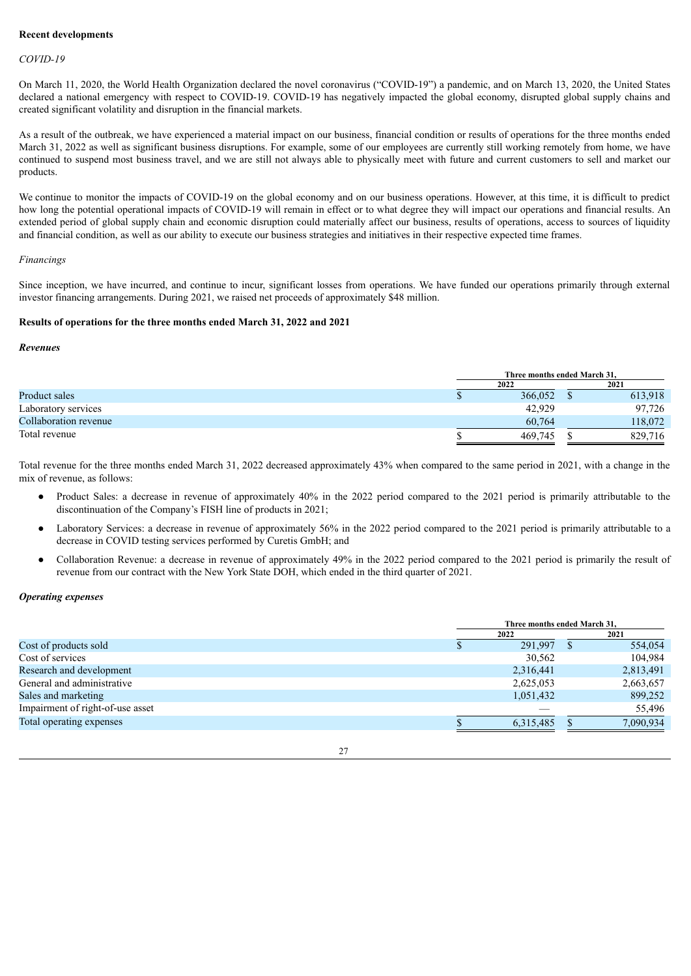## **Recent developments**

#### *COVID-19*

On March 11, 2020, the World Health Organization declared the novel coronavirus ("COVID-19") a pandemic, and on March 13, 2020, the United States declared a national emergency with respect to COVID-19. COVID-19 has negatively impacted the global economy, disrupted global supply chains and created significant volatility and disruption in the financial markets.

As a result of the outbreak, we have experienced a material impact on our business, financial condition or results of operations for the three months ended March 31, 2022 as well as significant business disruptions. For example, some of our employees are currently still working remotely from home, we have continued to suspend most business travel, and we are still not always able to physically meet with future and current customers to sell and market our products.

We continue to monitor the impacts of COVID-19 on the global economy and on our business operations. However, at this time, it is difficult to predict how long the potential operational impacts of COVID-19 will remain in effect or to what degree they will impact our operations and financial results. An extended period of global supply chain and economic disruption could materially affect our business, results of operations, access to sources of liquidity and financial condition, as well as our ability to execute our business strategies and initiatives in their respective expected time frames.

#### *Financings*

Since inception, we have incurred, and continue to incur, significant losses from operations. We have funded our operations primarily through external investor financing arrangements. During 2021, we raised net proceeds of approximately \$48 million.

## **Results of operations for the three months ended March 31, 2022 and 2021**

## *Revenues*

|                       | Three months ended March 31. |  |         |
|-----------------------|------------------------------|--|---------|
|                       | 2022                         |  | 2021    |
| Product sales         | 366,052                      |  | 613,918 |
| Laboratory services   | 42,929                       |  | 97,726  |
| Collaboration revenue | 60.764                       |  | 118,072 |
| Total revenue         | 469,745                      |  | 829,716 |

Total revenue for the three months ended March 31, 2022 decreased approximately 43% when compared to the same period in 2021, with a change in the mix of revenue, as follows:

- Product Sales: a decrease in revenue of approximately 40% in the 2022 period compared to the 2021 period is primarily attributable to the discontinuation of the Company's FISH line of products in 2021;
- Laboratory Services: a decrease in revenue of approximately 56% in the 2022 period compared to the 2021 period is primarily attributable to a decrease in COVID testing services performed by Curetis GmbH; and
- Collaboration Revenue: a decrease in revenue of approximately 49% in the 2022 period compared to the 2021 period is primarily the result of revenue from our contract with the New York State DOH, which ended in the third quarter of 2021.

## *Operating expenses*

|                                  | Three months ended March 31. |           |  |           |
|----------------------------------|------------------------------|-----------|--|-----------|
|                                  |                              | 2022      |  | 2021      |
| Cost of products sold            |                              | 291,997   |  | 554,054   |
| Cost of services                 |                              | 30,562    |  | 104,984   |
| Research and development         |                              | 2,316,441 |  | 2,813,491 |
| General and administrative       |                              | 2,625,053 |  | 2,663,657 |
| Sales and marketing              |                              | 1,051,432 |  | 899,252   |
| Impairment of right-of-use asset |                              |           |  | 55,496    |
| Total operating expenses         |                              | 6,315,485 |  | 7,090,934 |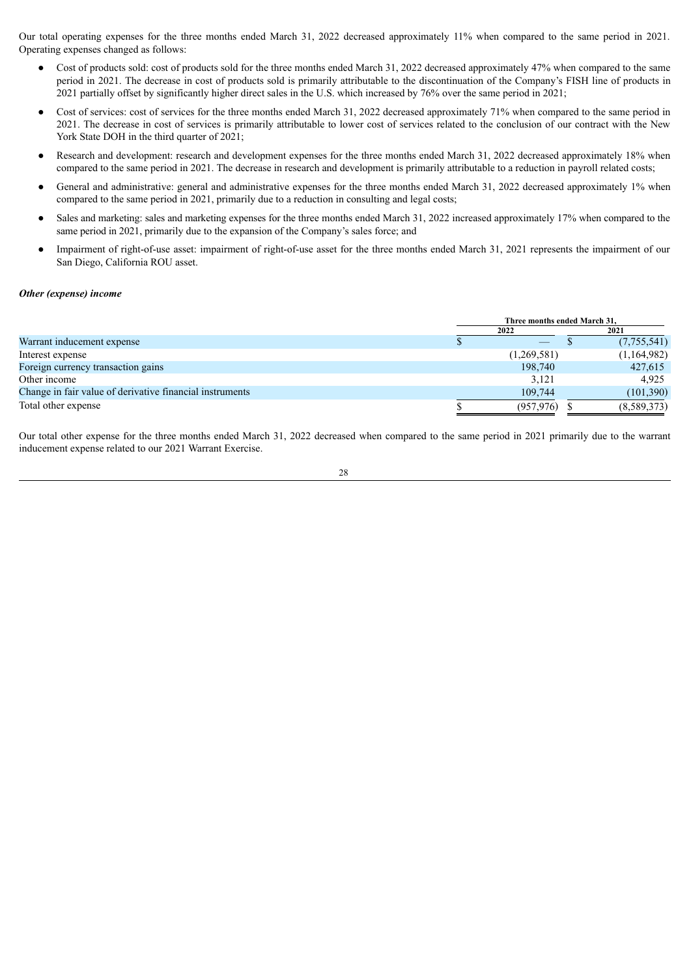Our total operating expenses for the three months ended March 31, 2022 decreased approximately 11% when compared to the same period in 2021. Operating expenses changed as follows:

- Cost of products sold: cost of products sold for the three months ended March 31, 2022 decreased approximately 47% when compared to the same period in 2021. The decrease in cost of products sold is primarily attributable to the discontinuation of the Company's FISH line of products in 2021 partially offset by significantly higher direct sales in the U.S. which increased by 76% over the same period in 2021;
- Cost of services: cost of services for the three months ended March 31, 2022 decreased approximately 71% when compared to the same period in 2021. The decrease in cost of services is primarily attributable to lower cost of services related to the conclusion of our contract with the New York State DOH in the third quarter of 2021:
- Research and development: research and development expenses for the three months ended March 31, 2022 decreased approximately 18% when compared to the same period in 2021. The decrease in research and development is primarily attributable to a reduction in payroll related costs;
- General and administrative: general and administrative expenses for the three months ended March 31, 2022 decreased approximately 1% when compared to the same period in 2021, primarily due to a reduction in consulting and legal costs;
- Sales and marketing: sales and marketing expenses for the three months ended March 31, 2022 increased approximately 17% when compared to the same period in 2021, primarily due to the expansion of the Company's sales force; and
- Impairment of right-of-use asset: impairment of right-of-use asset for the three months ended March 31, 2021 represents the impairment of our San Diego, California ROU asset.

#### *Other (expense) income*

|                                                          | Three months ended March 31. |             |  |             |
|----------------------------------------------------------|------------------------------|-------------|--|-------------|
|                                                          |                              | 2022        |  | 2021        |
| Warrant inducement expense                               |                              |             |  | (7,755,541) |
| Interest expense                                         |                              | (1,269,581) |  | (1,164,982) |
| Foreign currency transaction gains                       |                              | 198,740     |  | 427,615     |
| Other income                                             |                              | 3,121       |  | 4.925       |
| Change in fair value of derivative financial instruments |                              | 109.744     |  | (101, 390)  |
| Total other expense                                      |                              | (957, 976)  |  | (8,589,373) |

Our total other expense for the three months ended March 31, 2022 decreased when compared to the same period in 2021 primarily due to the warrant inducement expense related to our 2021 Warrant Exercise.

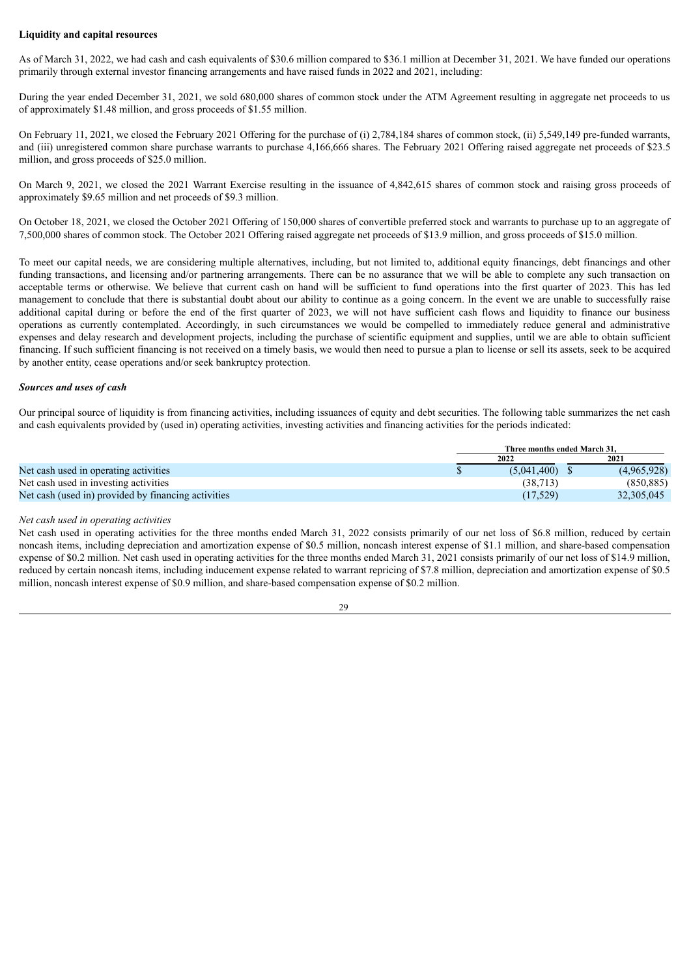## **Liquidity and capital resources**

As of March 31, 2022, we had cash and cash equivalents of \$30.6 million compared to \$36.1 million at December 31, 2021. We have funded our operations primarily through external investor financing arrangements and have raised funds in 2022 and 2021, including:

During the year ended December 31, 2021, we sold 680,000 shares of common stock under the ATM Agreement resulting in aggregate net proceeds to us of approximately \$1.48 million, and gross proceeds of \$1.55 million.

On February 11, 2021, we closed the February 2021 Offering for the purchase of (i) 2,784,184 shares of common stock, (ii) 5,549,149 pre-funded warrants, and (iii) unregistered common share purchase warrants to purchase 4,166,666 shares. The February 2021 Offering raised aggregate net proceeds of \$23.5 million, and gross proceeds of \$25.0 million.

On March 9, 2021, we closed the 2021 Warrant Exercise resulting in the issuance of 4,842,615 shares of common stock and raising gross proceeds of approximately \$9.65 million and net proceeds of \$9.3 million.

On October 18, 2021, we closed the October 2021 Offering of 150,000 shares of convertible preferred stock and warrants to purchase up to an aggregate of 7,500,000 shares of common stock. The October 2021 Offering raised aggregate net proceeds of \$13.9 million, and gross proceeds of \$15.0 million.

To meet our capital needs, we are considering multiple alternatives, including, but not limited to, additional equity financings, debt financings and other funding transactions, and licensing and/or partnering arrangements. There can be no assurance that we will be able to complete any such transaction on acceptable terms or otherwise. We believe that current cash on hand will be sufficient to fund operations into the first quarter of 2023. This has led management to conclude that there is substantial doubt about our ability to continue as a going concern. In the event we are unable to successfully raise additional capital during or before the end of the first quarter of 2023, we will not have sufficient cash flows and liquidity to finance our business operations as currently contemplated. Accordingly, in such circumstances we would be compelled to immediately reduce general and administrative expenses and delay research and development projects, including the purchase of scientific equipment and supplies, until we are able to obtain sufficient financing. If such sufficient financing is not received on a timely basis, we would then need to pursue a plan to license or sell its assets, seek to be acquired by another entity, cease operations and/or seek bankruptcy protection.

## *Sources and uses of cash*

Our principal source of liquidity is from financing activities, including issuances of equity and debt securities. The following table summarizes the net cash and cash equivalents provided by (used in) operating activities, investing activities and financing activities for the periods indicated:

|                                                     | Three months ended March 31. |  |              |
|-----------------------------------------------------|------------------------------|--|--------------|
|                                                     | 2022                         |  | 2021         |
| Net cash used in operating activities               | (5.041.400)                  |  | (4.965.928)  |
| Net cash used in investing activities               | (38.713)                     |  | (850, 885)   |
| Net cash (used in) provided by financing activities | (17,529)                     |  | 32, 305, 045 |

#### *Net cash used in operating activities*

Net cash used in operating activities for the three months ended March 31, 2022 consists primarily of our net loss of \$6.8 million, reduced by certain noncash items, including depreciation and amortization expense of \$0.5 million, noncash interest expense of \$1.1 million, and share-based compensation expense of \$0.2 million. Net cash used in operating activities for the three months ended March 31, 2021 consists primarily of our net loss of \$14.9 million, reduced by certain noncash items, including inducement expense related to warrant repricing of \$7.8 million, depreciation and amortization expense of \$0.5 million, noncash interest expense of \$0.9 million, and share-based compensation expense of \$0.2 million.

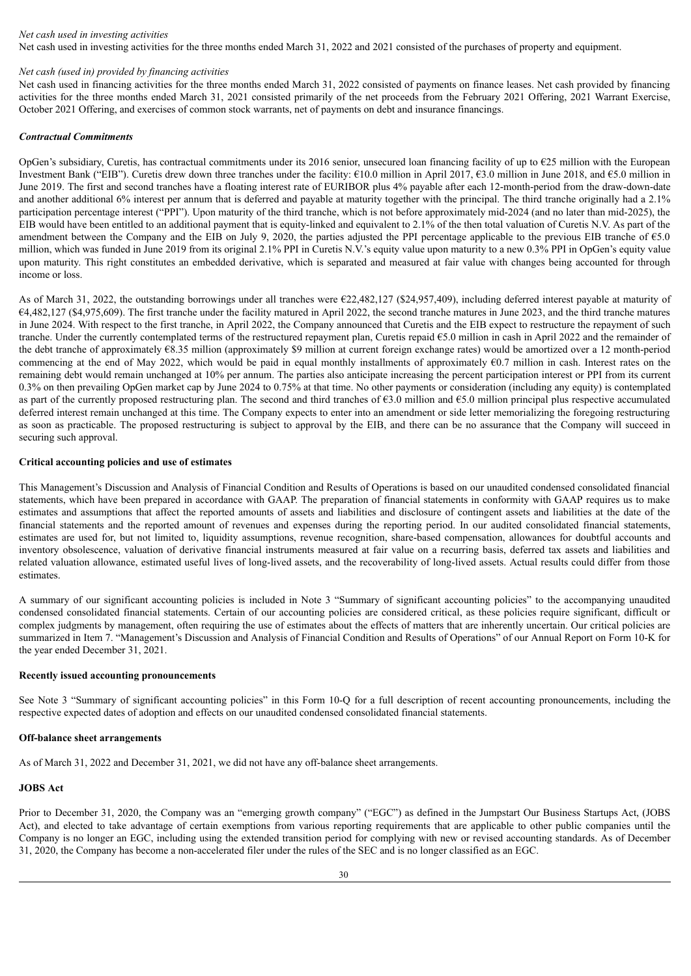## *Net cash used in investing activities*

Net cash used in investing activities for the three months ended March 31, 2022 and 2021 consisted of the purchases of property and equipment.

## *Net cash (used in) provided by financing activities*

Net cash used in financing activities for the three months ended March 31, 2022 consisted of payments on finance leases. Net cash provided by financing activities for the three months ended March 31, 2021 consisted primarily of the net proceeds from the February 2021 Offering, 2021 Warrant Exercise, October 2021 Offering, and exercises of common stock warrants, net of payments on debt and insurance financings.

#### *Contractual Commitments*

OpGen's subsidiary, Curetis, has contractual commitments under its 2016 senior, unsecured loan financing facility of up to  $\epsilon$ 25 million with the European Investment Bank ("EIB"). Curetis drew down three tranches under the facility: €10.0 million in April 2017, €3.0 million in June 2018, and €5.0 million in June 2019. The first and second tranches have a floating interest rate of EURIBOR plus 4% payable after each 12-month-period from the draw-down-date and another additional 6% interest per annum that is deferred and payable at maturity together with the principal. The third tranche originally had a 2.1% participation percentage interest ("PPI"). Upon maturity of the third tranche, which is not before approximately mid-2024 (and no later than mid-2025), the EIB would have been entitled to an additional payment that is equity-linked and equivalent to 2.1% of the then total valuation of Curetis N.V. As part of the amendment between the Company and the EIB on July 9, 2020, the parties adjusted the PPI percentage applicable to the previous EIB tranche of  $65.0$ million, which was funded in June 2019 from its original 2.1% PPI in Curetis N.V.'s equity value upon maturity to a new 0.3% PPI in OpGen's equity value upon maturity. This right constitutes an embedded derivative, which is separated and measured at fair value with changes being accounted for through income or loss.

As of March 31, 2022, the outstanding borrowings under all tranches were €22,482,127 (\$24,957,409), including deferred interest payable at maturity of  $64,482,127$  (\$4,975,609). The first tranche under the facility matured in April 2022, the second tranche matures in June 2023, and the third tranche matures in June 2024. With respect to the first tranche, in April 2022, the Company announced that Curetis and the EIB expect to restructure the repayment of such tranche. Under the currently contemplated terms of the restructured repayment plan, Curetis repaid  $\epsilon$ 5.0 million in cash in April 2022 and the remainder of the debt tranche of approximately €8.35 million (approximately \$9 million at current foreign exchange rates) would be amortized over a 12 month-period commencing at the end of May 2022, which would be paid in equal monthly installments of approximately  $60.7$  million in cash. Interest rates on the remaining debt would remain unchanged at 10% per annum. The parties also anticipate increasing the percent participation interest or PPI from its current 0.3% on then prevailing OpGen market cap by June 2024 to 0.75% at that time. No other payments or consideration (including any equity) is contemplated as part of the currently proposed restructuring plan. The second and third tranches of  $63.0$  million and  $65.0$  million principal plus respective accumulated deferred interest remain unchanged at this time. The Company expects to enter into an amendment or side letter memorializing the foregoing restructuring as soon as practicable. The proposed restructuring is subject to approval by the EIB, and there can be no assurance that the Company will succeed in securing such approval.

## **Critical accounting policies and use of estimates**

This Management's Discussion and Analysis of Financial Condition and Results of Operations is based on our unaudited condensed consolidated financial statements, which have been prepared in accordance with GAAP. The preparation of financial statements in conformity with GAAP requires us to make estimates and assumptions that affect the reported amounts of assets and liabilities and disclosure of contingent assets and liabilities at the date of the financial statements and the reported amount of revenues and expenses during the reporting period. In our audited consolidated financial statements, estimates are used for, but not limited to, liquidity assumptions, revenue recognition, share-based compensation, allowances for doubtful accounts and inventory obsolescence, valuation of derivative financial instruments measured at fair value on a recurring basis, deferred tax assets and liabilities and related valuation allowance, estimated useful lives of long-lived assets, and the recoverability of long-lived assets. Actual results could differ from those estimates.

A summary of our significant accounting policies is included in Note 3 "Summary of significant accounting policies" to the accompanying unaudited condensed consolidated financial statements. Certain of our accounting policies are considered critical, as these policies require significant, difficult or complex judgments by management, often requiring the use of estimates about the effects of matters that are inherently uncertain. Our critical policies are summarized in Item 7. "Management's Discussion and Analysis of Financial Condition and Results of Operations" of our Annual Report on Form 10-K for the year ended December 31, 2021.

#### **Recently issued accounting pronouncements**

See Note 3 "Summary of significant accounting policies" in this Form 10-Q for a full description of recent accounting pronouncements, including the respective expected dates of adoption and effects on our unaudited condensed consolidated financial statements.

#### **Off-balance sheet arrangements**

As of March 31, 2022 and December 31, 2021, we did not have any off-balance sheet arrangements.

#### **JOBS Act**

Prior to December 31, 2020, the Company was an "emerging growth company" ("EGC") as defined in the Jumpstart Our Business Startups Act, (JOBS Act), and elected to take advantage of certain exemptions from various reporting requirements that are applicable to other public companies until the Company is no longer an EGC, including using the extended transition period for complying with new or revised accounting standards. As of December 31, 2020, the Company has become a non-accelerated filer under the rules of the SEC and is no longer classified as an EGC.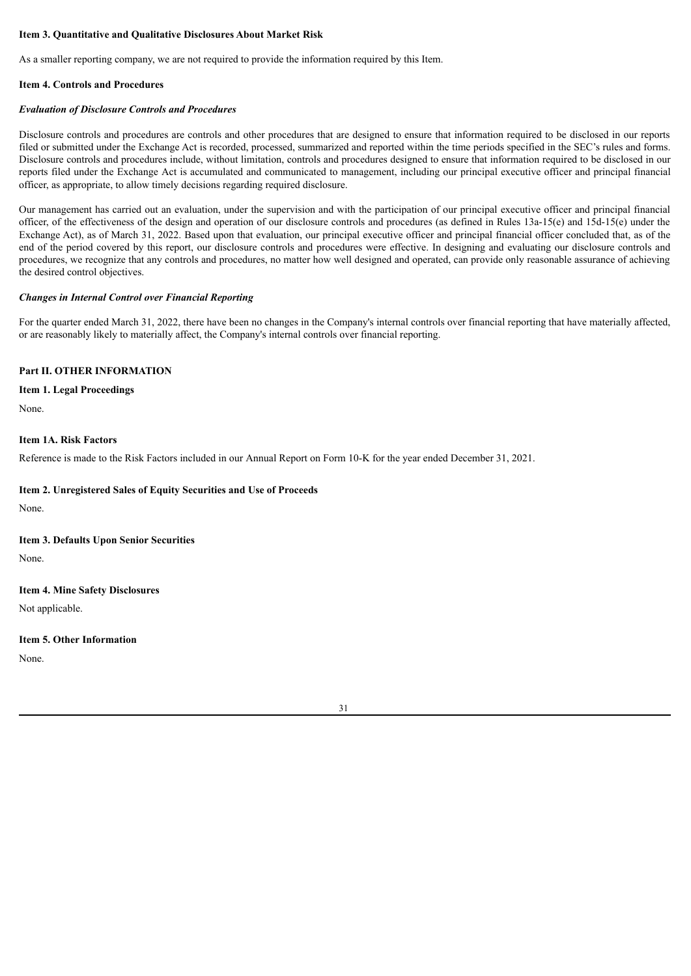## <span id="page-30-0"></span>**Item 3. Quantitative and Qualitative Disclosures About Market Risk**

As a smaller reporting company, we are not required to provide the information required by this Item.

#### <span id="page-30-1"></span>**Item 4. Controls and Procedures**

#### *Evaluation of Disclosure Controls and Procedures*

Disclosure controls and procedures are controls and other procedures that are designed to ensure that information required to be disclosed in our reports filed or submitted under the Exchange Act is recorded, processed, summarized and reported within the time periods specified in the SEC's rules and forms. Disclosure controls and procedures include, without limitation, controls and procedures designed to ensure that information required to be disclosed in our reports filed under the Exchange Act is accumulated and communicated to management, including our principal executive officer and principal financial officer, as appropriate, to allow timely decisions regarding required disclosure.

Our management has carried out an evaluation, under the supervision and with the participation of our principal executive officer and principal financial officer, of the effectiveness of the design and operation of our disclosure controls and procedures (as defined in Rules 13a-15(e) and 15d-15(e) under the Exchange Act), as of March 31, 2022. Based upon that evaluation, our principal executive officer and principal financial officer concluded that, as of the end of the period covered by this report, our disclosure controls and procedures were effective. In designing and evaluating our disclosure controls and procedures, we recognize that any controls and procedures, no matter how well designed and operated, can provide only reasonable assurance of achieving the desired control objectives.

## *Changes in Internal Control over Financial Reporting*

For the quarter ended March 31, 2022, there have been no changes in the Company's internal controls over financial reporting that have materially affected, or are reasonably likely to materially affect, the Company's internal controls over financial reporting.

## <span id="page-30-2"></span>**Part II. OTHER INFORMATION**

**Item 1. Legal Proceedings**

None.

## **Item 1A. Risk Factors**

Reference is made to the Risk Factors included in our Annual Report on Form 10-K for the year ended December 31, 2021.

## **Item 2. Unregistered Sales of Equity Securities and Use of Proceeds**

None.

## **Item 3. Defaults Upon Senior Securities**

None.

## **Item 4. Mine Safety Disclosures**

Not applicable.

#### **Item 5. Other Information**

None.

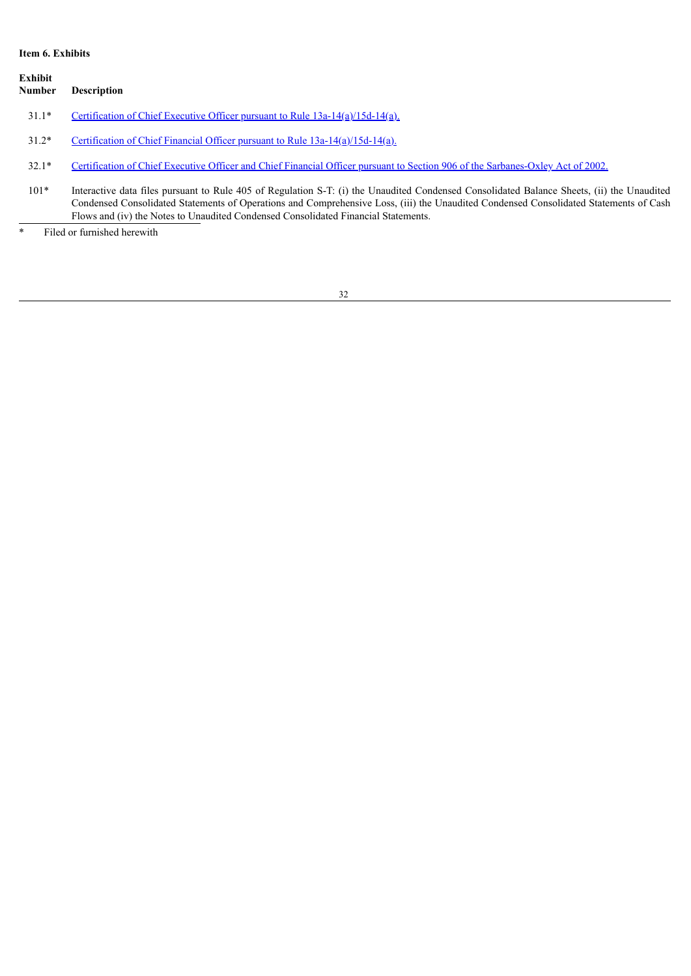## <span id="page-31-0"></span>**Item 6. Exhibits**

# **Exhibit**

# **Number Description**

- 31.1\* Certification of Chief Executive Officer pursuant to Rule [13a-14\(a\)/15d-14\(a\).](#page-34-0)
- 31.2\* Certification of Chief Financial Officer pursuant to Rule [13a-14\(a\)/15d-14\(a\).](#page-35-0)
- 32.1\* Certification of Chief Executive Officer and Chief Financial Officer pursuant to Section 906 of the [Sarbanes-Oxley](#page-36-0) Act of 2002.
- 101\* Interactive data files pursuant to Rule 405 of Regulation S-T: (i) the Unaudited Condensed Consolidated Balance Sheets, (ii) the Unaudited Condensed Consolidated Statements of Operations and Comprehensive Loss, (iii) the Unaudited Condensed Consolidated Statements of Cash Flows and (iv) the Notes to Unaudited Condensed Consolidated Financial Statements.

\* Filed or furnished herewith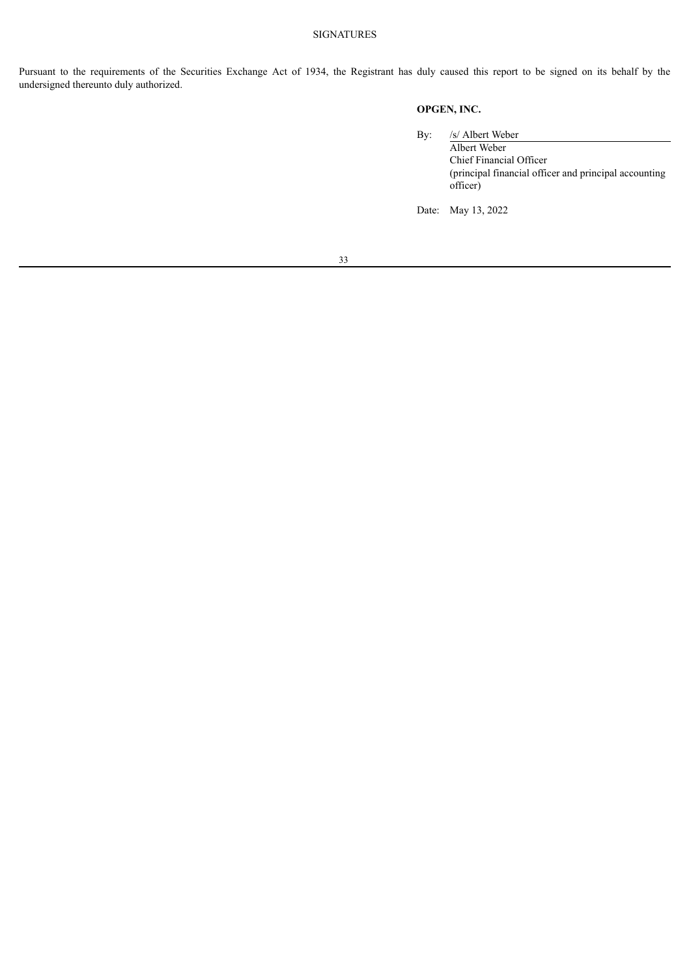## SIGNATURES

<span id="page-32-0"></span>Pursuant to the requirements of the Securities Exchange Act of 1934, the Registrant has duly caused this report to be signed on its behalf by the undersigned thereunto duly authorized.

# **OPGEN, INC.**

By: /s/ Albert Weber

Albert Weber Chief Financial Officer (principal financial officer and principal accounting officer)

Date: May 13, 2022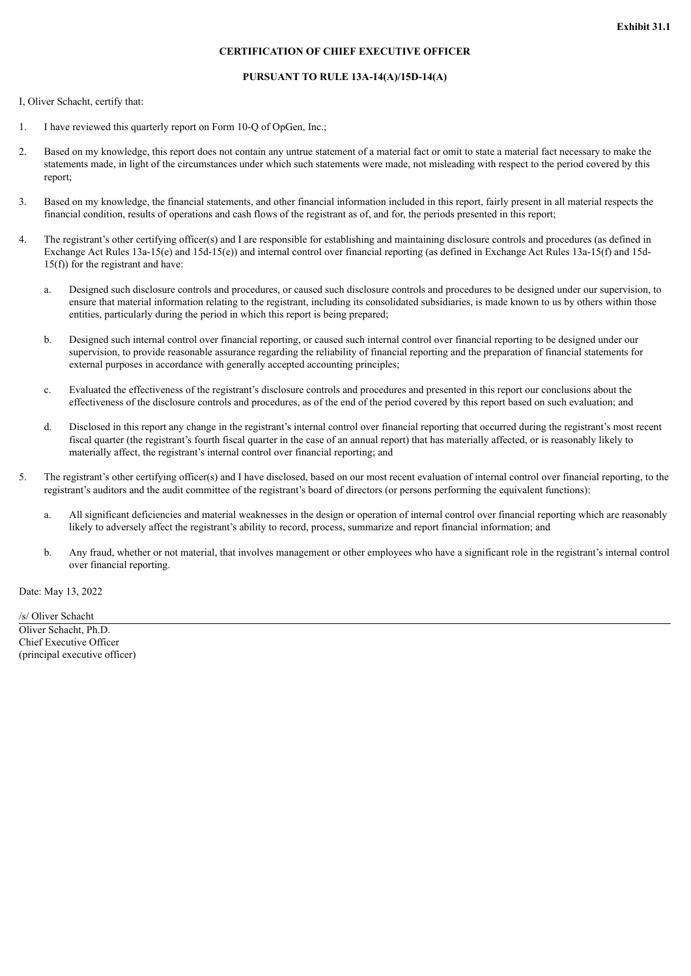## **CERTIFICATION OF CHIEF EXECUTIVE OFFICER**

## **PURSUANT TO RULE 13A-14(A)/15D-14(A)**

<span id="page-34-0"></span>I, Oliver Schacht, certify that:

- 1. I have reviewed this quarterly report on Form 10-Q of OpGen, Inc.;
- 2. Based on my knowledge, this report does not contain any untrue statement of a material fact or omit to state a material fact necessary to make the statements made, in light of the circumstances under which such statements were made, not misleading with respect to the period covered by this report;
- 3. Based on my knowledge, the financial statements, and other financial information included in this report, fairly present in all material respects the financial condition, results of operations and cash flows of the registrant as of, and for, the periods presented in this report;
- 4. The registrant's other certifying officer(s) and I are responsible for establishing and maintaining disclosure controls and procedures (as defined in Exchange Act Rules 13a-15(e) and 15d-15(e)) and internal control over financial reporting (as defined in Exchange Act Rules 13a-15(f) and 15d-15(f)) for the registrant and have:
	- a. Designed such disclosure controls and procedures, or caused such disclosure controls and procedures to be designed under our supervision, to ensure that material information relating to the registrant, including its consolidated subsidiaries, is made known to us by others within those entities, particularly during the period in which this report is being prepared;
	- b. Designed such internal control over financial reporting, or caused such internal control over financial reporting to be designed under our supervision, to provide reasonable assurance regarding the reliability of financial reporting and the preparation of financial statements for external purposes in accordance with generally accepted accounting principles;
	- c. Evaluated the effectiveness of the registrant's disclosure controls and procedures and presented in this report our conclusions about the effectiveness of the disclosure controls and procedures, as of the end of the period covered by this report based on such evaluation; and
	- d. Disclosed in this report any change in the registrant's internal control over financial reporting that occurred during the registrant's most recent fiscal quarter (the registrant's fourth fiscal quarter in the case of an annual report) that has materially affected, or is reasonably likely to materially affect, the registrant's internal control over financial reporting; and
- 5. The registrant's other certifying officer(s) and I have disclosed, based on our most recent evaluation of internal control over financial reporting, to the registrant's auditors and the audit committee of the registrant's board of directors (or persons performing the equivalent functions):
	- a. All significant deficiencies and material weaknesses in the design or operation of internal control over financial reporting which are reasonably likely to adversely affect the registrant's ability to record, process, summarize and report financial information; and
	- b. Any fraud, whether or not material, that involves management or other employees who have a significant role in the registrant's internal control over financial reporting.

Date: May 13, 2022

/s/ Oliver Schacht Oliver Schacht, Ph.D. Chief Executive Officer (principal executive officer)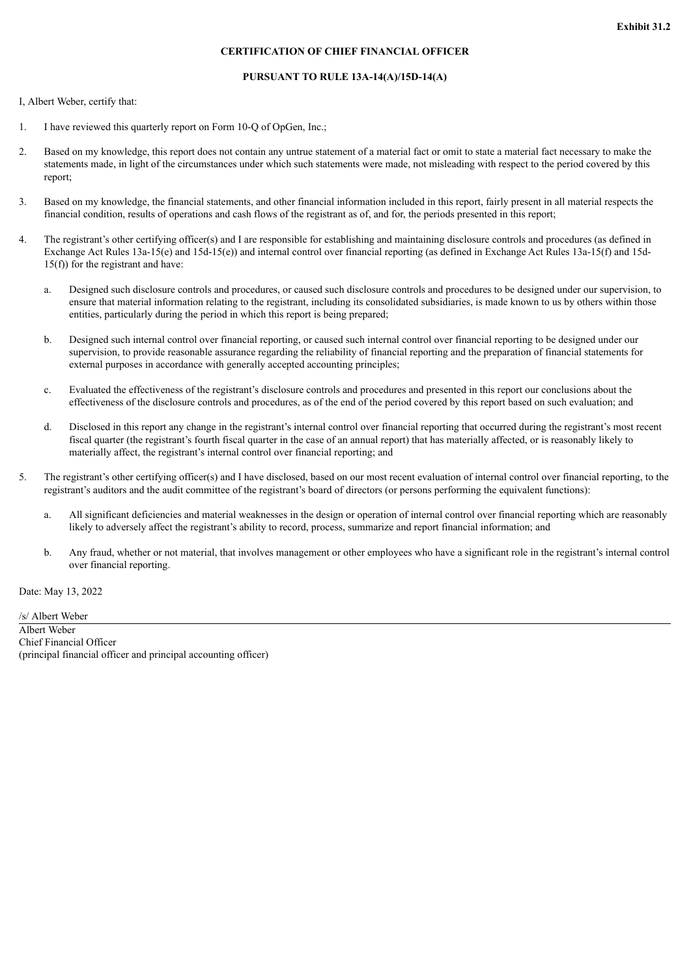## **CERTIFICATION OF CHIEF FINANCIAL OFFICER**

## **PURSUANT TO RULE 13A-14(A)/15D-14(A)**

<span id="page-35-0"></span>I, Albert Weber, certify that:

- 1. I have reviewed this quarterly report on Form 10-Q of OpGen, Inc.;
- 2. Based on my knowledge, this report does not contain any untrue statement of a material fact or omit to state a material fact necessary to make the statements made, in light of the circumstances under which such statements were made, not misleading with respect to the period covered by this report;
- 3. Based on my knowledge, the financial statements, and other financial information included in this report, fairly present in all material respects the financial condition, results of operations and cash flows of the registrant as of, and for, the periods presented in this report;
- 4. The registrant's other certifying officer(s) and I are responsible for establishing and maintaining disclosure controls and procedures (as defined in Exchange Act Rules 13a-15(e) and 15d-15(e)) and internal control over financial reporting (as defined in Exchange Act Rules 13a-15(f) and 15d-15(f)) for the registrant and have:
	- a. Designed such disclosure controls and procedures, or caused such disclosure controls and procedures to be designed under our supervision, to ensure that material information relating to the registrant, including its consolidated subsidiaries, is made known to us by others within those entities, particularly during the period in which this report is being prepared;
	- b. Designed such internal control over financial reporting, or caused such internal control over financial reporting to be designed under our supervision, to provide reasonable assurance regarding the reliability of financial reporting and the preparation of financial statements for external purposes in accordance with generally accepted accounting principles;
	- c. Evaluated the effectiveness of the registrant's disclosure controls and procedures and presented in this report our conclusions about the effectiveness of the disclosure controls and procedures, as of the end of the period covered by this report based on such evaluation; and
	- d. Disclosed in this report any change in the registrant's internal control over financial reporting that occurred during the registrant's most recent fiscal quarter (the registrant's fourth fiscal quarter in the case of an annual report) that has materially affected, or is reasonably likely to materially affect, the registrant's internal control over financial reporting; and
- 5. The registrant's other certifying officer(s) and I have disclosed, based on our most recent evaluation of internal control over financial reporting, to the registrant's auditors and the audit committee of the registrant's board of directors (or persons performing the equivalent functions):
	- a. All significant deficiencies and material weaknesses in the design or operation of internal control over financial reporting which are reasonably likely to adversely affect the registrant's ability to record, process, summarize and report financial information; and
	- b. Any fraud, whether or not material, that involves management or other employees who have a significant role in the registrant's internal control over financial reporting.

Date: May 13, 2022

/s/ Albert Weber

Albert Weber Chief Financial Officer (principal financial officer and principal accounting officer)